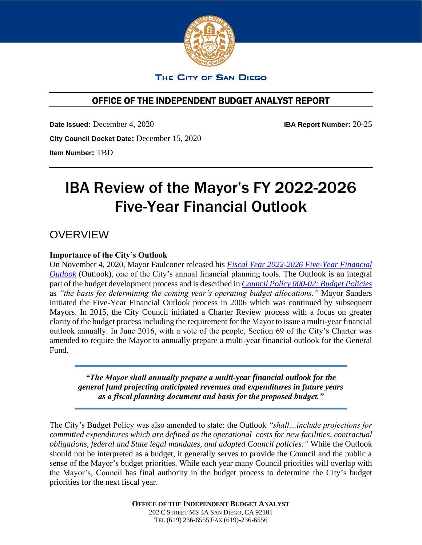

## THE CITY OF SAN DIEGO

## OFFICE OF THE INDEPENDENT BUDGET ANALYST REPORT

**Date Issued:** December 4, 2020 **IBA Report Number:** 20-25 **City Council Docket Date:** December 15, 2020 **Item Number:** TBD

# IBA Review of the Mayor's FY 2022-2026 Five-Year Financial Outlook

## OVERVIEW

## **Importance of the City's Outlook**

On November 4, 2020, Mayor Faulconer released his *[Fiscal Year 2022-2026 Five-Year Financial](https://www.sandiego.gov/sites/default/files/fy2022-2026-five-year-financial-outlook-revised-11-23-2020-w-attachments.pdf)  [Outlook](https://www.sandiego.gov/sites/default/files/fy2022-2026-five-year-financial-outlook-revised-11-23-2020-w-attachments.pdf)* (Outlook), one of the City's annual financial planning tools. The Outlook is an integral part of the budget development process and is described in *[Council Policy 000-02: Budget Policies](https://docs.sandiego.gov/councilpolicies/cpd_000-02.pdf)* as *"the basis for determining the coming year's operating budget allocations."* Mayor Sanders initiated the Five-Year Financial Outlook process in 2006 which was continued by subsequent Mayors. In 2015, the City Council initiated a Charter Review process with a focus on greater clarity of the budget process including the requirement for the Mayor to issue a multi-year financial outlook annually. In June 2016, with a vote of the people, Section 69 of the City's Charter was amended to require the Mayor to annually prepare a multi-year financial outlook for the General Fund.

*"The Mayor shall annually prepare a multi-year financial outlook for the general fund projecting anticipated revenues and expenditures in future years as a fiscal planning document and basis for the proposed budget."*

The City's Budget Policy was also amended to state: the Outlook *"shall…include projections for committed expenditures which are defined as the operational costs for new facilities, contractual obligations, federal and State legal mandates, and adopted Council policies."* While the Outlook should not be interpreted as a budget, it generally serves to provide the Council and the public a sense of the Mayor's budget priorities. While each year many Council priorities will overlap with the Mayor's, Council has final authority in the budget process to determine the City's budget priorities for the next fiscal year.

> **OFFICE OF THE INDEPENDENT BUDGET ANALYST** 202 C STREET MS 3A SAN DIEGO, CA 92101 TEL (619) 236-6555 FAX (619)-236-6556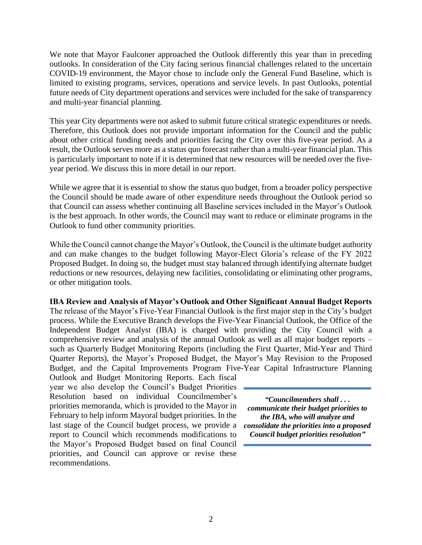We note that Mayor Faulconer approached the Outlook differently this year than in preceding outlooks. In consideration of the City facing serious financial challenges related to the uncertain COVID-19 environment, the Mayor chose to include only the General Fund Baseline, which is limited to existing programs, services, operations and service levels. In past Outlooks, potential future needs of City department operations and services were included for the sake of transparency and multi-year financial planning.

This year City departments were not asked to submit future critical strategic expenditures or needs. Therefore, this Outlook does not provide important information for the Council and the public about other critical funding needs and priorities facing the City over this five-year period. As a result, the Outlook serves more as a status quo forecast rather than a multi-year financial plan. This is particularly important to note if it is determined that new resources will be needed over the fiveyear period. We discuss this in more detail in our report.

While we agree that it is essential to show the status quo budget, from a broader policy perspective the Council should be made aware of other expenditure needs throughout the Outlook period so that Council can assess whether continuing all Baseline services included in the Mayor's Outlook is the best approach. In other words, the Council may want to reduce or eliminate programs in the Outlook to fund other community priorities.

While the Council cannot change the Mayor's Outlook, the Council is the ultimate budget authority and can make changes to the budget following Mayor-Elect Gloria's release of the FY 2022 Proposed Budget. In doing so, the budget must stay balanced through identifying alternate budget reductions or new resources, delaying new facilities, consolidating or eliminating other programs, or other mitigation tools.

## **IBA Review and Analysis of Mayor's Outlook and Other Significant Annual Budget Reports**

The release of the Mayor's Five-Year Financial Outlook is the first major step in the City's budget process. While the Executive Branch develops the Five-Year Financial Outlook, the Office of the Independent Budget Analyst (IBA) is charged with providing the City Council with a comprehensive review and analysis of the annual Outlook as well as all major budget reports – such as Quarterly Budget Monitoring Reports (including the First Quarter, Mid-Year and Third Quarter Reports), the Mayor's Proposed Budget, the Mayor's May Revision to the Proposed Budget, and the Capital Improvements Program Five-Year Capital Infrastructure Planning

Outlook and Budget Monitoring Reports. Each fiscal year we also develop the Council's Budget Priorities Resolution based on individual Councilmember's priorities memoranda, which is provided to the Mayor in February to help inform Mayoral budget priorities. In the last stage of the Council budget process, we provide a report to Council which recommends modifications to the Mayor's Proposed Budget based on final Council priorities, and Council can approve or revise these recommendations.

*"Councilmembers shall . . . communicate their budget priorities to the IBA, who will analyze and consolidate the priorities into a proposed Council budget priorities resolution"*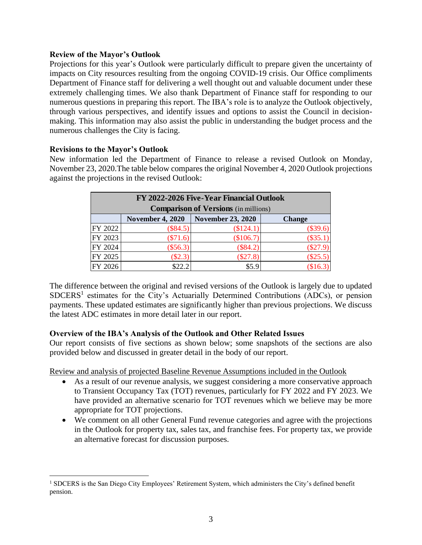## **Review of the Mayor's Outlook**

Projections for this year's Outlook were particularly difficult to prepare given the uncertainty of impacts on City resources resulting from the ongoing COVID-19 crisis. Our Office compliments Department of Finance staff for delivering a well thought out and valuable document under these extremely challenging times. We also thank Department of Finance staff for responding to our numerous questions in preparing this report. The IBA's role is to analyze the Outlook objectively, through various perspectives, and identify issues and options to assist the Council in decisionmaking. This information may also assist the public in understanding the budget process and the numerous challenges the City is facing.

## **Revisions to the Mayor's Outlook**

New information led the Department of Finance to release a revised Outlook on Monday, November 23, 2020.The table below compares the original November 4, 2020 Outlook projections against the projections in the revised Outlook:

|         | FY 2022-2026 Five-Year Financial Outlook<br><b>Comparison of Versions</b> (in millions) |                          |               |  |  |  |  |  |  |  |  |  |  |
|---------|-----------------------------------------------------------------------------------------|--------------------------|---------------|--|--|--|--|--|--|--|--|--|--|
|         | <b>November 4, 2020</b>                                                                 | <b>November 23, 2020</b> | <b>Change</b> |  |  |  |  |  |  |  |  |  |  |
| FY 2022 | $(\$84.5)$                                                                              | \$124.1)                 | $(\$39.6)$    |  |  |  |  |  |  |  |  |  |  |
| FY 2023 | $(\$71.6)$                                                                              | \$106.7)                 | $(\$35.1)$    |  |  |  |  |  |  |  |  |  |  |
| FY 2024 | $(\$56.3)$                                                                              | (\$84.2)                 | $(\$27.9)$    |  |  |  |  |  |  |  |  |  |  |
| FY 2025 | $(\$2.3)$                                                                               | (\$27.8)                 | $(\$25.5)$    |  |  |  |  |  |  |  |  |  |  |
| FY 2026 | \$22.2                                                                                  | \$5.9                    | \$16.3)       |  |  |  |  |  |  |  |  |  |  |

The difference between the original and revised versions of the Outlook is largely due to updated SDCERS<sup>1</sup> estimates for the City's Actuarially Determined Contributions (ADCs), or pension payments. These updated estimates are significantly higher than previous projections. We discuss the latest ADC estimates in more detail later in our report.

## **Overview of the IBA's Analysis of the Outlook and Other Related Issues**

Our report consists of five sections as shown below; some snapshots of the sections are also provided below and discussed in greater detail in the body of our report.

Review and analysis of projected Baseline Revenue Assumptions included in the Outlook

- As a result of our revenue analysis, we suggest considering a more conservative approach to Transient Occupancy Tax (TOT) revenues, particularly for FY 2022 and FY 2023. We have provided an alternative scenario for TOT revenues which we believe may be more appropriate for TOT projections.
- We comment on all other General Fund revenue categories and agree with the projections in the Outlook for property tax, sales tax, and franchise fees. For property tax, we provide an alternative forecast for discussion purposes.

<sup>&</sup>lt;sup>1</sup> SDCERS is the San Diego City Employees' Retirement System, which administers the City's defined benefit pension.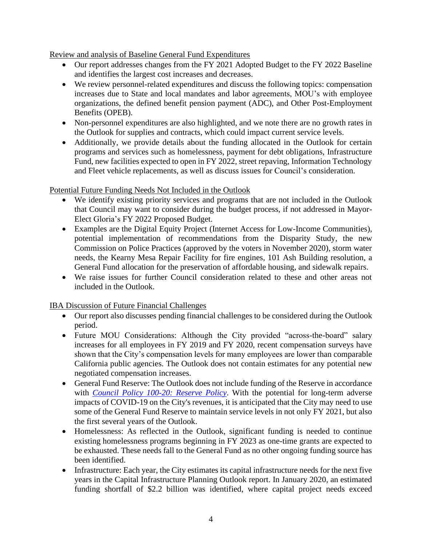Review and analysis of Baseline General Fund Expenditures

- Our report addresses changes from the FY 2021 Adopted Budget to the FY 2022 Baseline and identifies the largest cost increases and decreases.
- We review personnel-related expenditures and discuss the following topics: compensation increases due to State and local mandates and labor agreements, MOU's with employee organizations, the defined benefit pension payment (ADC), and Other Post-Employment Benefits (OPEB).
- Non-personnel expenditures are also highlighted, and we note there are no growth rates in the Outlook for supplies and contracts, which could impact current service levels.
- Additionally, we provide details about the funding allocated in the Outlook for certain programs and services such as homelessness, payment for debt obligations, Infrastructure Fund, new facilities expected to open in FY 2022, street repaving, Information Technology and Fleet vehicle replacements, as well as discuss issues for Council's consideration.

## Potential Future Funding Needs Not Included in the Outlook

- We identify existing priority services and programs that are not included in the Outlook that Council may want to consider during the budget process, if not addressed in Mayor-Elect Gloria's FY 2022 Proposed Budget.
- Examples are the Digital Equity Project (Internet Access for Low-Income Communities), potential implementation of recommendations from the Disparity Study, the new Commission on Police Practices (approved by the voters in November 2020), storm water needs, the Kearny Mesa Repair Facility for fire engines, 101 Ash Building resolution, a General Fund allocation for the preservation of affordable housing, and sidewalk repairs.
- We raise issues for further Council consideration related to these and other areas not included in the Outlook.

IBA Discussion of Future Financial Challenges

- Our report also discusses pending financial challenges to be considered during the Outlook period.
- Future MOU Considerations: Although the City provided "across-the-board" salary increases for all employees in FY 2019 and FY 2020, recent compensation surveys have shown that the City's compensation levels for many employees are lower than comparable California public agencies. The Outlook does not contain estimates for any potential new negotiated compensation increases.
- General Fund Reserve: The Outlook does not include funding of the Reserve in accordance with *[Council Policy 100-20: Reserve Policy](https://docs.sandiego.gov/councilpolicies/cpd_100-20.pdf)*. With the potential for long-term adverse impacts of COVID-19 on the City's revenues, it is anticipated that the City may need to use some of the General Fund Reserve to maintain service levels in not only FY 2021, but also the first several years of the Outlook.
- Homelessness: As reflected in the Outlook, significant funding is needed to continue existing homelessness programs beginning in FY 2023 as one-time grants are expected to be exhausted. These needs fall to the General Fund as no other ongoing funding source has been identified.
- Infrastructure: Each year, the City estimates its capital infrastructure needs for the next five years in the Capital Infrastructure Planning Outlook report. In January 2020, an estimated funding shortfall of \$2.2 billion was identified, where capital project needs exceed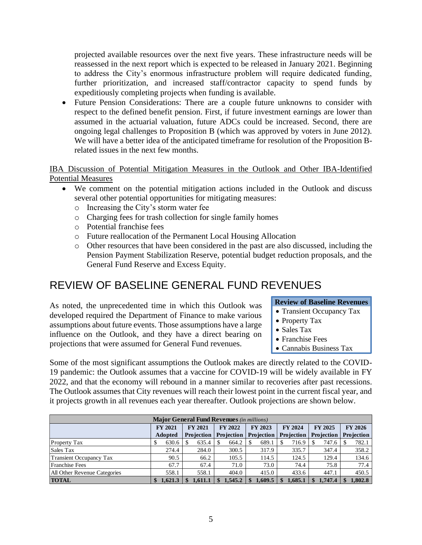projected available resources over the next five years. These infrastructure needs will be reassessed in the next report which is expected to be released in January 2021. Beginning to address the City's enormous infrastructure problem will require dedicated funding, further prioritization, and increased staff/contractor capacity to spend funds by expeditiously completing projects when funding is available.

• Future Pension Considerations: There are a couple future unknowns to consider with respect to the defined benefit pension. First, if future investment earnings are lower than assumed in the actuarial valuation, future ADCs could be increased. Second, there are ongoing legal challenges to Proposition B (which was approved by voters in June 2012). We will have a better idea of the anticipated timeframe for resolution of the Proposition Brelated issues in the next few months.

IBA Discussion of Potential Mitigation Measures in the Outlook and Other IBA-Identified Potential Measures

- We comment on the potential mitigation actions included in the Outlook and discuss several other potential opportunities for mitigating measures:
	- o Increasing the City's storm water fee

As noted, the unprecedented time in which this Outlook was developed required the Department of Finance to make various assumptions about future events. Those assumptions have a large influence on the Outlook, and they have a direct bearing on

projections that were assumed for General Fund revenues.

- o Charging fees for trash collection for single family homes
- o Potential franchise fees
- o Future reallocation of the Permanent Local Housing Allocation
- o Other resources that have been considered in the past are also discussed, including the Pension Payment Stabilization Reserve, potential budget reduction proposals, and the General Fund Reserve and Excess Equity.

## REVIEW OF BASELINE GENERAL FUND REVENUES

**Review of Baseline Revenues**

- Transient Occupancy Tax
- Property Tax
- Sales Tax
- Franchise Fees
- Cannabis Business Tax

Some of the most significant assumptions the Outlook makes are directly related to the COVID-19 pandemic: the Outlook assumes that a vaccine for COVID-19 will be widely available in FY 2022, and that the economy will rebound in a manner similar to recoveries after past recessions. The Outlook assumes that City revenues will reach their lowest point in the current fiscal year, and it projects growth in all revenues each year thereafter. Outlook projections are shown below.

|                                |                | <b>Major General Fund Revenues</b> (in millions) |                     |                     |                   |                   |                   |
|--------------------------------|----------------|--------------------------------------------------|---------------------|---------------------|-------------------|-------------------|-------------------|
|                                | <b>FY 2021</b> | <b>FY 2021</b>                                   | <b>FY 2022</b>      | <b>FY 2023</b>      | FY 2024           | <b>FY 2025</b>    | FY 2026           |
|                                | <b>Adopted</b> | <b>Projection</b>                                | <b>Projection</b>   | <b>Projection</b>   | <b>Projection</b> | <b>Projection</b> | <b>Projection</b> |
| <b>Property Tax</b>            | 630.6          | 635.4                                            | 664.2               | 689.1               | 716.9             | 747.6             | 782.1             |
| Sales Tax                      | 274.4          | 284.0                                            | 300.5               | 317.9               | 335.7             | 347.4             | 358.2             |
| <b>Transient Occupancy Tax</b> | 90.5           | 66.2                                             | 105.5               | 114.5               | 124.5             | 129.4             | 134.6             |
| <b>Franchise Fees</b>          | 67.7           | 67.4                                             | 71.0                | 73.0                | 74.4              | 75.8              | 77.4              |
| All Other Revenue Categories   | 558.1          | 558.1                                            | 404.0               | 415.0               | 433.6             | 447.1             | 450.5             |
| <b>TOTAL</b>                   | 1.621.3        | 1.611.1                                          | 1,545.2<br><b>S</b> | 1.609.5<br><b>S</b> | 1.685.1           | 1,747.4<br>S.     | 1.802.8           |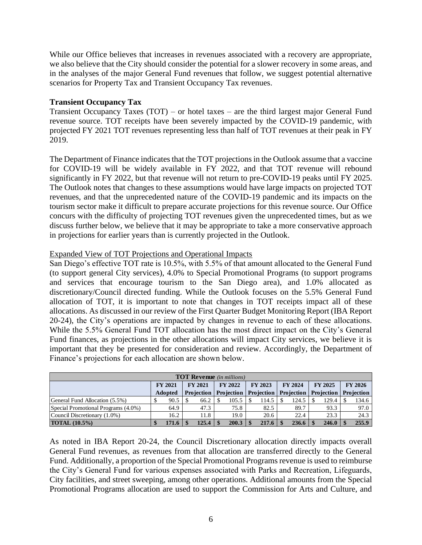While our Office believes that increases in revenues associated with a recovery are appropriate, we also believe that the City should consider the potential for a slower recovery in some areas, and in the analyses of the major General Fund revenues that follow, we suggest potential alternative scenarios for Property Tax and Transient Occupancy Tax revenues.

## **Transient Occupancy Tax**

Transient Occupancy Taxes (TOT) – or hotel taxes – are the third largest major General Fund revenue source. TOT receipts have been severely impacted by the COVID-19 pandemic, with projected FY 2021 TOT revenues representing less than half of TOT revenues at their peak in FY 2019.

The Department of Finance indicates that the TOT projections in the Outlook assume that a vaccine for COVID-19 will be widely available in FY 2022, and that TOT revenue will rebound significantly in FY 2022, but that revenue will not return to pre-COVID-19 peaks until FY 2025. The Outlook notes that changes to these assumptions would have large impacts on projected TOT revenues, and that the unprecedented nature of the COVID-19 pandemic and its impacts on the tourism sector make it difficult to prepare accurate projections for this revenue source. Our Office concurs with the difficulty of projecting TOT revenues given the unprecedented times, but as we discuss further below, we believe that it may be appropriate to take a more conservative approach in projections for earlier years than is currently projected in the Outlook.

## Expanded View of TOT Projections and Operational Impacts

San Diego's effective TOT rate is 10.5%, with 5.5% of that amount allocated to the General Fund (to support general City services), 4.0% to Special Promotional Programs (to support programs and services that encourage tourism to the San Diego area), and 1.0% allocated as discretionary/Council directed funding. While the Outlook focuses on the 5.5% General Fund allocation of TOT, it is important to note that changes in TOT receipts impact all of these allocations. As discussed in our review of the First Quarter Budget Monitoring Report (IBA Report 20-24), the City's operations are impacted by changes in revenue to each of these allocations. While the 5.5% General Fund TOT allocation has the most direct impact on the City's General Fund finances, as projections in the other allocations will impact City services, we believe it is important that they be presented for consideration and review. Accordingly, the Department of Finance's projections for each allocation are shown below.

|                                     | <b>TOT Revenue</b> (in millions) |                |  |                   |  |            |  |                                  |  |                |  |                                |  |         |
|-------------------------------------|----------------------------------|----------------|--|-------------------|--|------------|--|----------------------------------|--|----------------|--|--------------------------------|--|---------|
|                                     |                                  | <b>FY 2021</b> |  | <b>FY 2021</b>    |  | FY 2022    |  | FY 2023                          |  | <b>FY 2024</b> |  | <b>FY 2025</b>                 |  | FY 2026 |
|                                     |                                  | <b>Adopted</b> |  | <b>Projection</b> |  | Projection |  | <b>Projection   Projection  </b> |  |                |  | <b>Projection</b>   Projection |  |         |
| General Fund Allocation (5.5%)      |                                  | 90.5           |  | 66.2              |  | 105.5      |  | 114.5                            |  | 124.5          |  | 129.4                          |  | 134.6   |
| Special Promotional Programs (4.0%) |                                  | 64.9           |  | 47.3              |  | 75.8       |  | 82.5                             |  | 89.7           |  | 93.3                           |  | 97.0    |
| Council Discretionary (1.0%)        |                                  | 16.2           |  | 11.8              |  | 19.0       |  | 20.6                             |  | 22.4           |  | 23.3                           |  | 24.3    |
| <b>TOTAL</b> (10.5%)                |                                  | 171.6          |  | 125.4             |  | 200.3      |  | 217.6                            |  | 236.6          |  | 246.0                          |  | 255.9   |

As noted in IBA Report 20-24, the Council Discretionary allocation directly impacts overall General Fund revenues, as revenues from that allocation are transferred directly to the General Fund. Additionally, a proportion of the Special Promotional Programs revenue is used to reimburse the City's General Fund for various expenses associated with Parks and Recreation, Lifeguards, City facilities, and street sweeping, among other operations. Additional amounts from the Special Promotional Programs allocation are used to support the Commission for Arts and Culture, and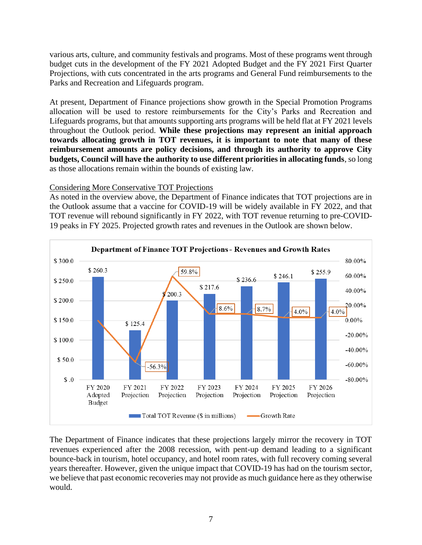various arts, culture, and community festivals and programs. Most of these programs went through budget cuts in the development of the FY 2021 Adopted Budget and the FY 2021 First Quarter Projections, with cuts concentrated in the arts programs and General Fund reimbursements to the Parks and Recreation and Lifeguards program.

At present, Department of Finance projections show growth in the Special Promotion Programs allocation will be used to restore reimbursements for the City's Parks and Recreation and Lifeguards programs, but that amounts supporting arts programs will be held flat at FY 2021 levels throughout the Outlook period. **While these projections may represent an initial approach towards allocating growth in TOT revenues, it is important to note that many of these reimbursement amounts are policy decisions, and through its authority to approve City budgets, Council will have the authority to use different priorities in allocating funds**, so long as those allocations remain within the bounds of existing law.

## Considering More Conservative TOT Projections

As noted in the overview above, the Department of Finance indicates that TOT projections are in the Outlook assume that a vaccine for COVID-19 will be widely available in FY 2022, and that TOT revenue will rebound significantly in FY 2022, with TOT revenue returning to pre-COVID-19 peaks in FY 2025. Projected growth rates and revenues in the Outlook are shown below.



The Department of Finance indicates that these projections largely mirror the recovery in TOT revenues experienced after the 2008 recession, with pent-up demand leading to a significant bounce-back in tourism, hotel occupancy, and hotel room rates, with full recovery coming several years thereafter. However, given the unique impact that COVID-19 has had on the tourism sector, we believe that past economic recoveries may not provide as much guidance here as they otherwise would.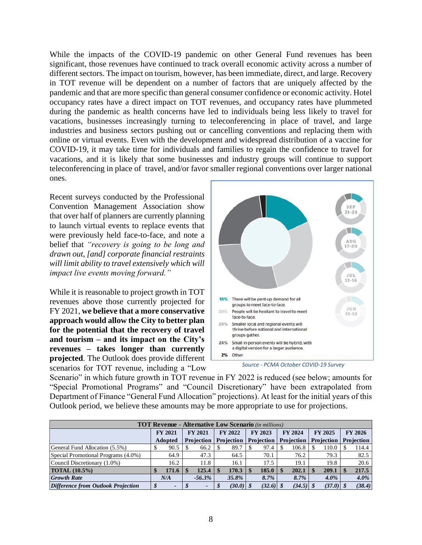While the impacts of the COVID-19 pandemic on other General Fund revenues has been significant, those revenues have continued to track overall economic activity across a number of different sectors. The impact on tourism, however, has been immediate, direct, and large. Recovery in TOT revenue will be dependent on a number of factors that are uniquely affected by the pandemic and that are more specific than general consumer confidence or economic activity. Hotel occupancy rates have a direct impact on TOT revenues, and occupancy rates have plummeted during the pandemic as health concerns have led to individuals being less likely to travel for vacations, businesses increasingly turning to teleconferencing in place of travel, and large industries and business sectors pushing out or cancelling conventions and replacing them with online or virtual events. Even with the development and widespread distribution of a vaccine for COVID-19, it may take time for individuals and families to regain the confidence to travel for vacations, and it is likely that some businesses and industry groups will continue to support teleconferencing in place of travel, and/or favor smaller regional conventions over larger national ones.

Recent surveys conducted by the Professional Convention Management Association show that over half of planners are currently planning to launch virtual events to replace events that were previously held face-to-face, and note a belief that *"recovery is going to be long and drawn out, [and] corporate financial restraints will limit ability to travel extensively which will impact live events moving forward."*

While it is reasonable to project growth in TOT revenues above those currently projected for FY 2021, **we believe that a more conservative approach would allow the City to better plan for the potential that the recovery of travel and tourism – and its impact on the City's revenues – takes longer than currently projected**. The Outlook does provide different scenarios for TOT revenue, including a "Low



*Source - PCMA October COVID-19 Survey*

Scenario" in which future growth in TOT revenue in FY 2022 is reduced (see below; amounts for "Special Promotional Programs" and "Council Discretionary" have been extrapolated from Department of Finance "General Fund Allocation" projections). At least for the initial years of this Outlook period, we believe these amounts may be more appropriate to use for projections.

|                                           | <b>TOT Revenue - Alternative Low Scenario</b> (in millions) |                 |                |                          |  |                              |                |             |  |                   |                |                   |  |            |  |
|-------------------------------------------|-------------------------------------------------------------|-----------------|----------------|--------------------------|--|------------------------------|----------------|-------------|--|-------------------|----------------|-------------------|--|------------|--|
|                                           |                                                             | <b>FY 2021</b>  | <b>FY 2021</b> |                          |  | <b>FY 2022</b>               | <b>FY 2023</b> |             |  | <b>FY 2024</b>    | <b>FY 2025</b> |                   |  | FY 2026    |  |
|                                           |                                                             | <b>Adopted</b>  |                | <b>Projection</b>        |  | <b>Projection</b> Projection |                |             |  | <b>Projection</b> |                | <b>Projection</b> |  | Projection |  |
| General Fund Allocation (5.5%)            |                                                             | 90.5            |                | 66.2                     |  | 89.7                         |                | 97.4        |  | 106.8             |                | 110.0             |  | 114.4      |  |
| Special Promotional Programs (4.0%)       |                                                             | 64.9            |                | 47.3                     |  | 64.5                         |                | 70.1        |  | 76.2              |                | 79.3              |  | 82.5       |  |
| Council Discretionary (1.0%)              |                                                             | 16.2            |                | 11.8                     |  | 16.1                         |                | 17.5        |  | 19.1              |                | 19.8              |  | 20.6       |  |
| <b>TOTAL</b> (10.5%)                      |                                                             | 171.6           |                | 125.4                    |  | 170.3                        |                | 185.0       |  | 202.1             |                | 209.1             |  | 217.5      |  |
| <b>Growth Rate</b>                        |                                                             | N/A             |                | $-56.3\%$                |  | 35.8%                        |                | 8.7%        |  | 8.7%              |                | $4.0\%$           |  | $4.0\%$    |  |
| <b>Difference from Outlook Projection</b> |                                                             | $\qquad \qquad$ |                | $\overline{\phantom{a}}$ |  | $(30.0)$ \$                  |                | $(32.6)$ \$ |  | $(34.5)$ \$       |                | $(37.0)$ \$       |  | (38.4)     |  |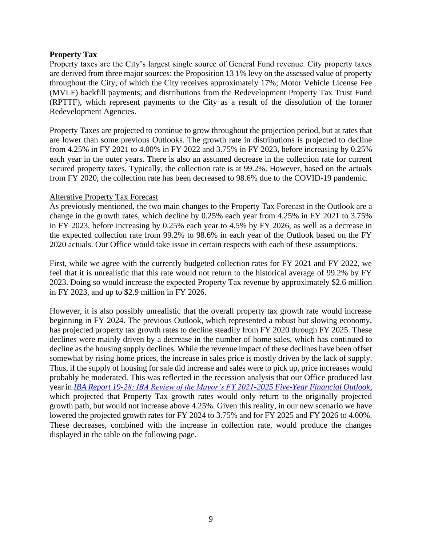## **Property Tax**

Property taxes are the City's largest single source of General Fund revenue. City property taxes are derived from three major sources: the Proposition 13 1% levy on the assessed value of property throughout the City, of which the City receives approximately 17%; Motor Vehicle License Fee (MVLF) backfill payments; and distributions from the Redevelopment Property Tax Trust Fund (RPTTF), which represent payments to the City as a result of the dissolution of the former Redevelopment Agencies.

Property Taxes are projected to continue to grow throughout the projection period, but at rates that are lower than some previous Outlooks. The growth rate in distributions is projected to decline from 4.25% in FY 2021 to 4.00% in FY 2022 and 3.75% in FY 2023, before increasing by 0.25% each year in the outer years. There is also an assumed decrease in the collection rate for current secured property taxes. Typically, the collection rate is at 99.2%. However, based on the actuals from FY 2020, the collection rate has been decreased to 98.6% due to the COVID-19 pandemic.

## Alterative Property Tax Forecast

As previously mentioned, the two main changes to the Property Tax Forecast in the Outlook are a change in the growth rates, which decline by 0.25% each year from 4.25% in FY 2021 to 3.75% in FY 2023, before increasing by 0.25% each year to 4.5% by FY 2026, as well as a decrease in the expected collection rate from 99.2% to 98.6% in each year of the Outlook based on the FY 2020 actuals. Our Office would take issue in certain respects with each of these assumptions.

First, while we agree with the currently budgeted collection rates for FY 2021 and FY 2022, we feel that it is unrealistic that this rate would not return to the historical average of 99.2% by FY 2023. Doing so would increase the expected Property Tax revenue by approximately \$2.6 million in FY 2023, and up to \$2.9 million in FY 2026.

However, it is also possibly unrealistic that the overall property tax growth rate would increase beginning in FY 2024. The previous Outlook, which represented a robust but slowing economy, has projected property tax growth rates to decline steadily from FY 2020 through FY 2025. These declines were mainly driven by a decrease in the number of home sales, which has continued to decline as the housing supply declines. While the revenue impact of these declines have been offset somewhat by rising home prices, the increase in sales price is mostly driven by the lack of supply. Thus, if the supply of housing for sale did increase and sales were to pick up, price increases would probably be moderated. This was reflected in the recession analysis that our Office produced last year in *[IBA Report 19-28: IBA Review of the Mayor's FY 2021-2025 Five-Year Financial Outlook](https://www.sandiego.gov/sites/default/files/19_28_fy21-25_gf_5yr_outlook_complete_rpt.pdf)*, which projected that Property Tax growth rates would only return to the originally projected growth path, but would not increase above 4.25%. Given this reality, in our new scenario we have lowered the projected growth rates for FY 2024 to 3.75% and for FY 2025 and FY 2026 to 4.00%. These decreases, combined with the increase in collection rate, would produce the changes displayed in the table on the following page.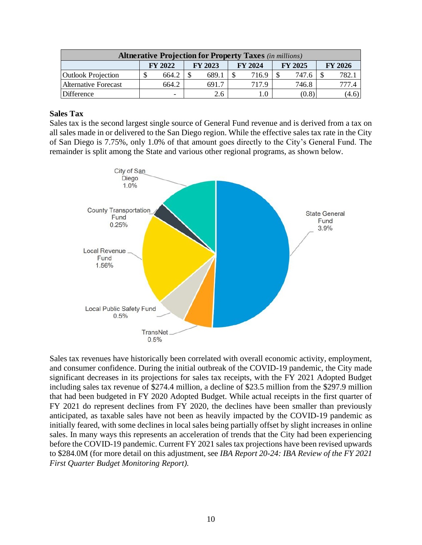|                                                                                 |  |                          |  |       |  | <b>Altnerative Projection for Property Taxes</b> (in millions) |  |       |  |        |  |  |  |
|---------------------------------------------------------------------------------|--|--------------------------|--|-------|--|----------------------------------------------------------------|--|-------|--|--------|--|--|--|
| <b>FY 2024</b><br><b>FY 2025</b><br>FY 2026<br><b>FY 2022</b><br><b>FY 2023</b> |  |                          |  |       |  |                                                                |  |       |  |        |  |  |  |
| <b>Outlook Projection</b>                                                       |  | 664.2                    |  | 689.1 |  | 716.9                                                          |  | 747.6 |  |        |  |  |  |
| Alternative Forecast                                                            |  | 664.2                    |  | 691.7 |  | 717.9                                                          |  | 746.8 |  | IT 1.4 |  |  |  |
| Difference                                                                      |  | $\overline{\phantom{0}}$ |  | 2.6   |  |                                                                |  | (0.8) |  | (4.6)  |  |  |  |

## **Sales Tax**

Sales tax is the second largest single source of General Fund revenue and is derived from a tax on all sales made in or delivered to the San Diego region. While the effective sales tax rate in the City of San Diego is 7.75%, only 1.0% of that amount goes directly to the City's General Fund. The remainder is split among the State and various other regional programs, as shown below.



Sales tax revenues have historically been correlated with overall economic activity, employment, and consumer confidence. During the initial outbreak of the COVID-19 pandemic, the City made significant decreases in its projections for sales tax receipts, with the FY 2021 Adopted Budget including sales tax revenue of \$274.4 million, a decline of \$23.5 million from the \$297.9 million that had been budgeted in FY 2020 Adopted Budget. While actual receipts in the first quarter of FY 2021 do represent declines from FY 2020, the declines have been smaller than previously anticipated, as taxable sales have not been as heavily impacted by the COVID-19 pandemic as initially feared, with some declines in local sales being partially offset by slight increases in online sales. In many ways this represents an acceleration of trends that the City had been experiencing before the COVID-19 pandemic. Current FY 2021 sales tax projections have been revised upwards to \$284.0M (for more detail on this adjustment, see *IBA Report 20-24: IBA Review of the FY 2021 First Quarter Budget Monitoring Report).*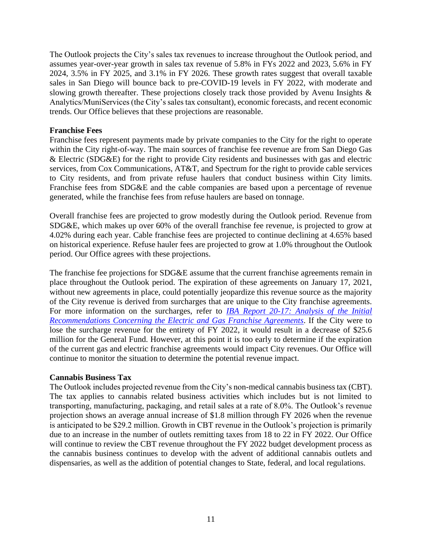The Outlook projects the City's sales tax revenues to increase throughout the Outlook period, and assumes year-over-year growth in sales tax revenue of 5.8% in FYs 2022 and 2023, 5.6% in FY 2024, 3.5% in FY 2025, and 3.1% in FY 2026. These growth rates suggest that overall taxable sales in San Diego will bounce back to pre-COVID-19 levels in FY 2022, with moderate and slowing growth thereafter. These projections closely track those provided by Avenu Insights & Analytics/MuniServices (the City's sales tax consultant), economic forecasts, and recent economic trends. Our Office believes that these projections are reasonable.

### **Franchise Fees**

Franchise fees represent payments made by private companies to the City for the right to operate within the City right-of-way. The main sources of franchise fee revenue are from San Diego Gas & Electric (SDG&E) for the right to provide City residents and businesses with gas and electric services, from Cox Communications, AT&T, and Spectrum for the right to provide cable services to City residents, and from private refuse haulers that conduct business within City limits. Franchise fees from SDG&E and the cable companies are based upon a percentage of revenue generated, while the franchise fees from refuse haulers are based on tonnage.

Overall franchise fees are projected to grow modestly during the Outlook period. Revenue from SDG&E, which makes up over 60% of the overall franchise fee revenue, is projected to grow at 4.02% during each year. Cable franchise fees are projected to continue declining at 4.65% based on historical experience. Refuse hauler fees are projected to grow at 1.0% throughout the Outlook period. Our Office agrees with these projections.

The franchise fee projections for SDG&E assume that the current franchise agreements remain in place throughout the Outlook period. The expiration of these agreements on January 17, 2021, without new agreements in place, could potentially jeopardize this revenue source as the majority of the City revenue is derived from surcharges that are unique to the City franchise agreements. For more information on the surcharges, refer to *[IBA Report 20-17: Analysis of the Initial](https://www.sandiego.gov/sites/default/files/ibareport-20-17.pdf)  [Recommendations Concerning the Electric and Gas Franchise Agreements](https://www.sandiego.gov/sites/default/files/ibareport-20-17.pdf)*. If the City were to lose the surcharge revenue for the entirety of FY 2022, it would result in a decrease of \$25.6 million for the General Fund. However, at this point it is too early to determine if the expiration of the current gas and electric franchise agreements would impact City revenues. Our Office will continue to monitor the situation to determine the potential revenue impact.

#### **Cannabis Business Tax**

The Outlook includes projected revenue from the City's non-medical cannabis business tax (CBT). The tax applies to cannabis related business activities which includes but is not limited to transporting, manufacturing, packaging, and retail sales at a rate of 8.0%. The Outlook's revenue projection shows an average annual increase of \$1.8 million through FY 2026 when the revenue is anticipated to be \$29.2 million. Growth in CBT revenue in the Outlook's projection is primarily due to an increase in the number of outlets remitting taxes from 18 to 22 in FY 2022. Our Office will continue to review the CBT revenue throughout the FY 2022 budget development process as the cannabis business continues to develop with the advent of additional cannabis outlets and dispensaries, as well as the addition of potential changes to State, federal, and local regulations.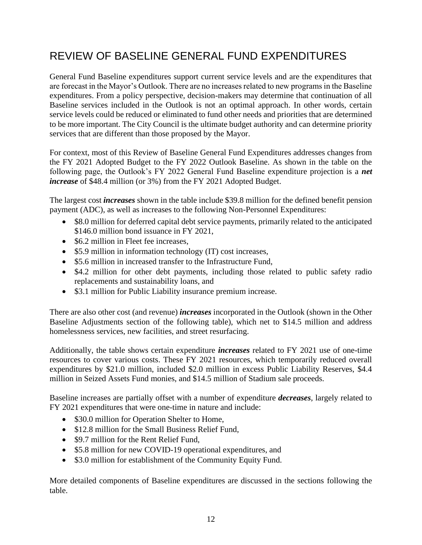## REVIEW OF BASELINE GENERAL FUND EXPENDITURES

General Fund Baseline expenditures support current service levels and are the expenditures that are forecast in the Mayor's Outlook. There are no increases related to new programs in the Baseline expenditures. From a policy perspective, decision-makers may determine that continuation of all Baseline services included in the Outlook is not an optimal approach. In other words, certain service levels could be reduced or eliminated to fund other needs and priorities that are determined to be more important. The City Council is the ultimate budget authority and can determine priority services that are different than those proposed by the Mayor.

For context, most of this Review of Baseline General Fund Expenditures addresses changes from the FY 2021 Adopted Budget to the FY 2022 Outlook Baseline. As shown in the table on the following page, the Outlook's FY 2022 General Fund Baseline expenditure projection is a *net increase* of \$48.4 million (or 3%) from the FY 2021 Adopted Budget.

The largest cost *increases* shown in the table include \$39.8 million for the defined benefit pension payment (ADC), as well as increases to the following Non-Personnel Expenditures:

- \$8.0 million for deferred capital debt service payments, primarily related to the anticipated \$146.0 million bond issuance in FY 2021,
- \$6.2 million in Fleet fee increases.
- \$5.9 million in information technology (IT) cost increases,
- \$5.6 million in increased transfer to the Infrastructure Fund,
- \$4.2 million for other debt payments, including those related to public safety radio replacements and sustainability loans, and
- \$3.1 million for Public Liability insurance premium increase.

There are also other cost (and revenue) *increases* incorporated in the Outlook (shown in the Other Baseline Adjustments section of the following table), which net to \$14.5 million and address homelessness services, new facilities, and street resurfacing.

Additionally, the table shows certain expenditure *increases* related to FY 2021 use of one-time resources to cover various costs. These FY 2021 resources, which temporarily reduced overall expenditures by \$21.0 million, included \$2.0 million in excess Public Liability Reserves, \$4.4 million in Seized Assets Fund monies, and \$14.5 million of Stadium sale proceeds.

Baseline increases are partially offset with a number of expenditure *decreases*, largely related to FY 2021 expenditures that were one-time in nature and include:

- \$30.0 million for Operation Shelter to Home,
- \$12.8 million for the Small Business Relief Fund.
- \$9.7 million for the Rent Relief Fund.
- \$5.8 million for new COVID-19 operational expenditures, and
- \$3.0 million for establishment of the Community Equity Fund.

More detailed components of Baseline expenditures are discussed in the sections following the table.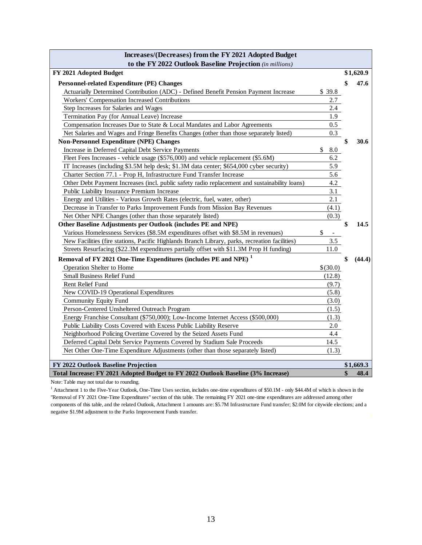| Increases/(Decreases) from the FY 2021 Adopted Budget                                          |                                |              |
|------------------------------------------------------------------------------------------------|--------------------------------|--------------|
| to the FY 2022 Outlook Baseline Projection (in millions)                                       |                                |              |
| FY 2021 Adopted Budget                                                                         |                                | \$1,620.9    |
| Personnel-related Expenditure (PE) Changes                                                     |                                | \$<br>47.6   |
| Actuarially Determined Contribution (ADC) - Defined Benefit Pension Payment Increase           | \$39.8                         |              |
| Workers' Compensation Increased Contributions                                                  | 2.7                            |              |
| Step Increases for Salaries and Wages                                                          | 2.4                            |              |
| Termination Pay (for Annual Leave) Increase                                                    | 1.9                            |              |
| Compensation Increases Due to State & Local Mandates and Labor Agreements                      | 0.5                            |              |
| Net Salaries and Wages and Fringe Benefits Changes (other than those separately listed)        | 0.3                            |              |
| <b>Non-Personnel Expenditure (NPE) Changes</b>                                                 |                                | \$<br>30.6   |
| Increase in Deferred Capital Debt Service Payments                                             | \$<br>8.0                      |              |
| Fleet Fees Increases - vehicle usage (\$576,000) and vehicle replacement (\$5.6M)              | 6.2                            |              |
| IT Increases (including \$3.5M help desk; \$1.3M data center; \$654,000 cyber security)        | 5.9                            |              |
| Charter Section 77.1 - Prop H, Infrastructure Fund Transfer Increase                           | 5.6                            |              |
| Other Debt Payment Increases (incl. public safety radio replacement and sustainability loans)  | 4.2                            |              |
| Public Liability Insurance Premium Increase                                                    | 3.1                            |              |
| Energy and Utilities - Various Growth Rates (electric, fuel, water, other)                     | 2.1                            |              |
| Decrease in Transfer to Parks Improvement Funds from Mission Bay Revenues                      | (4.1)                          |              |
| Net Other NPE Changes (other than those separately listed)                                     | (0.3)                          |              |
| Other Baseline Adjustments per Outlook (includes PE and NPE)                                   |                                | \$<br>14.5   |
| Various Homelessness Services (\$8.5M expenditures offset with \$8.5M in revenues)             | \$<br>$\overline{\phantom{a}}$ |              |
| New Facilities (fire stations, Pacific Highlands Branch Library, parks, recreation facilities) | 3.5                            |              |
| Streets Resurfacing (\$22.3M expenditures partially offset with \$11.3M Prop H funding)        | 11.0                           |              |
| Removal of FY 2021 One-Time Expenditures (includes PE and NPE) <sup>1</sup>                    |                                | \$<br>(44.4) |
| Operation Shelter to Home                                                                      | \$(30.0)                       |              |
| <b>Small Business Relief Fund</b>                                                              | (12.8)                         |              |
| Rent Relief Fund                                                                               | (9.7)                          |              |
| New COVID-19 Operational Expenditures                                                          | (5.8)                          |              |
| <b>Community Equity Fund</b>                                                                   | (3.0)                          |              |
| Person-Centered Unsheltered Outreach Program                                                   | (1.5)                          |              |
| Energy Franchise Consultant (\$750,000); Low-Income Internet Access (\$500,000)                | (1.3)                          |              |
| Public Liability Costs Covered with Excess Public Liability Reserve                            | 2.0                            |              |
| Neighborhood Policing Overtime Covered by the Seized Assets Fund                               | 4.4                            |              |
| Deferred Capital Debt Service Payments Covered by Stadium Sale Proceeds                        | 14.5                           |              |
| Net Other One-Time Expenditure Adjustments (other than those separately listed)                | (1.3)                          |              |
|                                                                                                |                                |              |
| FY 2022 Outlook Baseline Projection                                                            |                                | \$1,669.3    |
| Total Increase: FY 2021 Adopted Budget to FY 2022 Outlook Baseline (3% Increase)               |                                | \$<br>48.4   |

Note: Table may not total due to rounding.

<sup>1</sup> Attachment 1 to the Five-Year Outlook, One-Time Uses section, includes one-time expenditures of \$50.1M - only \$44.4M of which is shown in the "Removal of FY 2021 One-Time Expenditures" section of this table. The remaining FY 2021 one-time expenditures are addressed among other components of this table, and the related Outlook, Attachment 1 amounts are: \$5.7M Infrastructure Fund transfer; \$2.0M for citywide elections; and a negative \$1.9M adjustment to the Parks Improvement Funds transfer.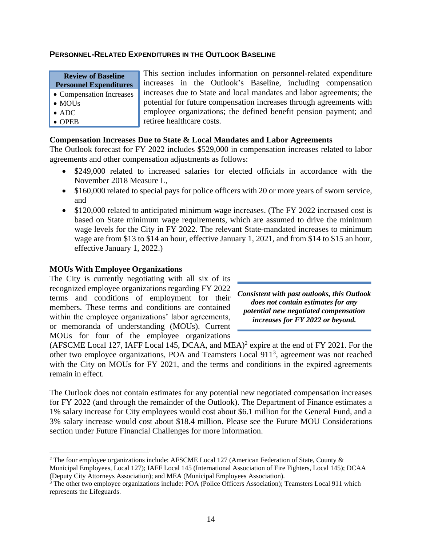### **PERSONNEL-RELATED EXPENDITURES IN THE OUTLOOK BASELINE**

| <b>Review of Baseline</b>     |  |
|-------------------------------|--|
| <b>Personnel Expenditures</b> |  |

- Compensation Increases
- MOU<sub>s</sub>
- ADC
- OPEB

This section includes information on personnel-related expenditure increases in the Outlook's Baseline, including compensation increases due to State and local mandates and labor agreements; the potential for future compensation increases through agreements with employee organizations; the defined benefit pension payment; and retiree healthcare costs.

## **Compensation Increases Due to State & Local Mandates and Labor Agreements**

The Outlook forecast for FY 2022 includes \$529,000 in compensation increases related to labor agreements and other compensation adjustments as follows:

- \$249,000 related to increased salaries for elected officials in accordance with the November 2018 Measure L,
- \$160,000 related to special pays for police officers with 20 or more years of sworn service, and
- \$120,000 related to anticipated minimum wage increases. (The FY 2022 increased cost is based on State minimum wage requirements, which are assumed to drive the minimum wage levels for the City in FY 2022. The relevant State-mandated increases to minimum wage are from \$13 to \$14 an hour, effective January 1, 2021, and from \$14 to \$15 an hour, effective January 1, 2022.)

## **MOUs With Employee Organizations**

The City is currently negotiating with all six of its recognized employee organizations regarding FY 2022 terms and conditions of employment for their members. These terms and conditions are contained within the employee organizations' labor agreements, or memoranda of understanding (MOUs). Current MOUs for four of the employee organizations



 $(AFSCME Local 127, IAFF Local 145, DCAA, and MEA)<sup>2</sup>$  expire at the end of FY 2021. For the other two employee organizations, POA and Teamsters Local 911<sup>3</sup>, agreement was not reached with the City on MOUs for FY 2021, and the terms and conditions in the expired agreements remain in effect.

The Outlook does not contain estimates for any potential new negotiated compensation increases for FY 2022 (and through the remainder of the Outlook). The Department of Finance estimates a 1% salary increase for City employees would cost about \$6.1 million for the General Fund, and a 3% salary increase would cost about \$18.4 million. Please see the Future MOU Considerations section under Future Financial Challenges for more information.

<sup>2</sup> The four employee organizations include: AFSCME Local 127 (American Federation of State, County & Municipal Employees, Local 127); IAFF Local 145 (International Association of Fire Fighters, Local 145); DCAA (Deputy City Attorneys Association); and MEA (Municipal Employees Association).

<sup>&</sup>lt;sup>3</sup> The other two employee organizations include: POA (Police Officers Association); Teamsters Local 911 which represents the Lifeguards.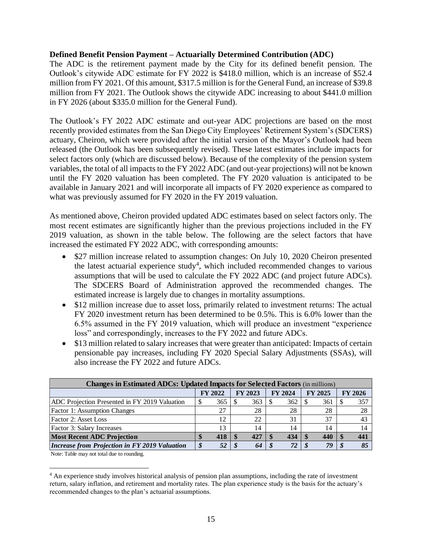## **Defined Benefit Pension Payment – Actuarially Determined Contribution (ADC)**

The ADC is the retirement payment made by the City for its defined benefit pension. The Outlook's citywide ADC estimate for FY 2022 is \$418.0 million, which is an increase of \$52.4 million from FY 2021. Of this amount, \$317.5 million is for the General Fund, an increase of \$39.8 million from FY 2021. The Outlook shows the citywide ADC increasing to about \$441.0 million in FY 2026 (about \$335.0 million for the General Fund).

The Outlook's FY 2022 ADC estimate and out-year ADC projections are based on the most recently provided estimates from the San Diego City Employees' Retirement System's (SDCERS) actuary, Cheiron, which were provided after the initial version of the Mayor's Outlook had been released (the Outlook has been subsequently revised). These latest estimates include impacts for select factors only (which are discussed below). Because of the complexity of the pension system variables, the total of all impacts to the FY 2022 ADC (and out-year projections) will not be known until the FY 2020 valuation has been completed. The FY 2020 valuation is anticipated to be available in January 2021 and will incorporate all impacts of FY 2020 experience as compared to what was previously assumed for FY 2020 in the FY 2019 valuation.

As mentioned above, Cheiron provided updated ADC estimates based on select factors only. The most recent estimates are significantly higher than the previous projections included in the FY 2019 valuation, as shown in the table below. The following are the select factors that have increased the estimated FY 2022 ADC, with corresponding amounts:

- \$27 million increase related to assumption changes: On July 10, 2020 Cheiron presented the latest actuarial experience study<sup>4</sup>, which included recommended changes to various assumptions that will be used to calculate the FY 2022 ADC (and project future ADCs). The SDCERS Board of Administration approved the recommended changes. The estimated increase is largely due to changes in mortality assumptions.
- \$12 million increase due to asset loss, primarily related to investment returns: The actual FY 2020 investment return has been determined to be 0.5%. This is 6.0% lower than the 6.5% assumed in the FY 2019 valuation, which will produce an investment "experience loss" and correspondingly, increases to the FY 2022 and future ADCs.
- \$13 million related to salary increases that were greater than anticipated: Impacts of certain pensionable pay increases, including FY 2020 Special Salary Adjustments (SSAs), will also increase the FY 2022 and future ADCs.

| <b>Changes in Estimated ADCs: Updated Impacts for Selected Factors</b> (in millions) |    |                |                |     |                |     |                |     |  |                |  |  |  |
|--------------------------------------------------------------------------------------|----|----------------|----------------|-----|----------------|-----|----------------|-----|--|----------------|--|--|--|
|                                                                                      |    | <b>FY 2022</b> | <b>FY 2023</b> |     | <b>FY 2024</b> |     | <b>FY 2025</b> |     |  | <b>FY 2026</b> |  |  |  |
| ADC Projection Presented in FY 2019 Valuation                                        |    | 365            |                | 363 |                | 362 |                | 361 |  | 357            |  |  |  |
| Factor 1: Assumption Changes                                                         |    | 27             |                | 28  |                | 28  |                | 28  |  | 28             |  |  |  |
| Factor 2: Asset Loss                                                                 |    | 12             |                | 22  |                | 31  |                | 37  |  | 43             |  |  |  |
| <b>Factor 3: Salary Increases</b>                                                    |    | 13             |                | 14  |                | 14  |                | 14  |  | 14             |  |  |  |
| <b>Most Recent ADC Projection</b>                                                    |    | 418            |                | 427 |                | 434 |                | 440 |  | 441            |  |  |  |
| Increase from Projection in FY 2019 Valuation                                        | J. | 52             |                | 64  |                | 72  |                | 79  |  | 85             |  |  |  |

Note: Table may not total due to rounding.

<sup>&</sup>lt;sup>4</sup> An experience study involves historical analysis of pension plan assumptions, including the rate of investment return, salary inflation, and retirement and mortality rates. The plan experience study is the basis for the actuary's recommended changes to the plan's actuarial assumptions.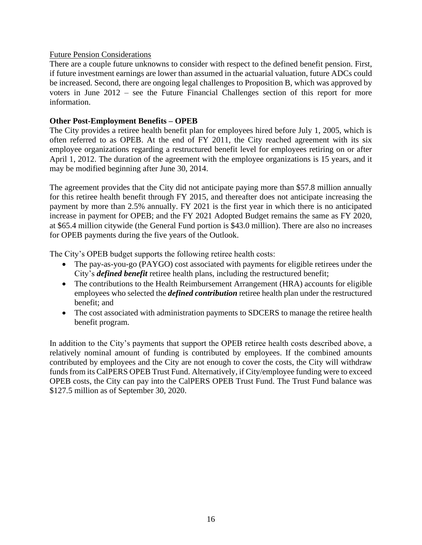## Future Pension Considerations

There are a couple future unknowns to consider with respect to the defined benefit pension. First, if future investment earnings are lower than assumed in the actuarial valuation, future ADCs could be increased. Second, there are ongoing legal challenges to Proposition B, which was approved by voters in June 2012 – see the Future Financial Challenges section of this report for more information.

## **Other Post-Employment Benefits – OPEB**

The City provides a retiree health benefit plan for employees hired before July 1, 2005, which is often referred to as OPEB. At the end of FY 2011, the City reached agreement with its six employee organizations regarding a restructured benefit level for employees retiring on or after April 1, 2012. The duration of the agreement with the employee organizations is 15 years, and it may be modified beginning after June 30, 2014.

The agreement provides that the City did not anticipate paying more than \$57.8 million annually for this retiree health benefit through FY 2015, and thereafter does not anticipate increasing the payment by more than 2.5% annually. FY 2021 is the first year in which there is no anticipated increase in payment for OPEB; and the FY 2021 Adopted Budget remains the same as FY 2020, at \$65.4 million citywide (the General Fund portion is \$43.0 million). There are also no increases for OPEB payments during the five years of the Outlook.

The City's OPEB budget supports the following retiree health costs:

- The pay-as-you-go (PAYGO) cost associated with payments for eligible retirees under the City's *defined benefit* retiree health plans, including the restructured benefit;
- The contributions to the Health Reimbursement Arrangement (HRA) accounts for eligible employees who selected the *defined contribution* retiree health plan under the restructured benefit; and
- The cost associated with administration payments to SDCERS to manage the retiree health benefit program.

In addition to the City's payments that support the OPEB retiree health costs described above, a relatively nominal amount of funding is contributed by employees. If the combined amounts contributed by employees and the City are not enough to cover the costs, the City will withdraw funds from its CalPERS OPEB Trust Fund. Alternatively, if City/employee funding were to exceed OPEB costs, the City can pay into the CalPERS OPEB Trust Fund. The Trust Fund balance was \$127.5 million as of September 30, 2020.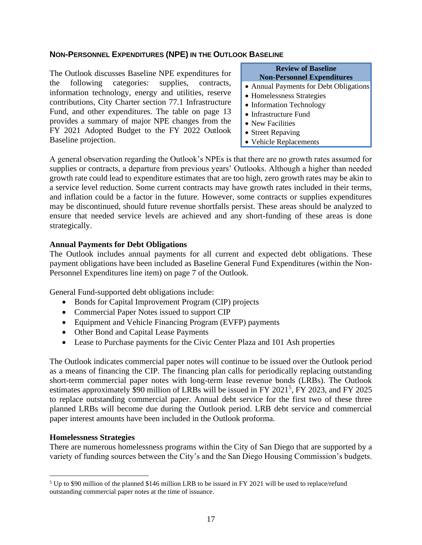## **NON-PERSONNEL EXPENDITURES (NPE) IN THE OUTLOOK BASELINE**

The Outlook discusses Baseline NPE expenditures for the following categories: supplies, contracts, information technology, energy and utilities, reserve contributions, City Charter section 77.1 Infrastructure Fund, and other expenditures. The table on page 13 provides a summary of major NPE changes from the FY 2021 Adopted Budget to the FY 2022 Outlook Baseline projection.

#### **Review of Baseline Non-Personnel Expenditures**

- Annual Payments for Debt Obligations
- Homelessness Strategies
- Information Technology
- Infrastructure Fund
- New Facilities
- Street Repaving
- Vehicle Replacements

A general observation regarding the Outlook's NPEs is that there are no growth rates assumed for supplies or contracts, a departure from previous years' Outlooks. Although a higher than needed growth rate could lead to expenditure estimates that are too high, zero growth rates may be akin to a service level reduction. Some current contracts may have growth rates included in their terms, and inflation could be a factor in the future. However, some contracts or supplies expenditures may be discontinued, should future revenue shortfalls persist. These areas should be analyzed to ensure that needed service levels are achieved and any short-funding of these areas is done strategically.

#### **Annual Payments for Debt Obligations**

The Outlook includes annual payments for all current and expected debt obligations. These payment obligations have been included as Baseline General Fund Expenditures (within the Non-Personnel Expenditures line item) on page 7 of the Outlook.

General Fund-supported debt obligations include:

- Bonds for Capital Improvement Program (CIP) projects
- Commercial Paper Notes issued to support CIP
- Equipment and Vehicle Financing Program (EVFP) payments
- Other Bond and Capital Lease Payments
- Lease to Purchase payments for the Civic Center Plaza and 101 Ash properties

The Outlook indicates commercial paper notes will continue to be issued over the Outlook period as a means of financing the CIP. The financing plan calls for periodically replacing outstanding short-term commercial paper notes with long-term lease revenue bonds (LRBs). The Outlook estimates approximately \$90 million of LRBs will be issued in FY 2021<sup>5</sup>, FY 2023, and FY 2025 to replace outstanding commercial paper. Annual debt service for the first two of these three planned LRBs will become due during the Outlook period. LRB debt service and commercial paper interest amounts have been included in the Outlook proforma.

## **Homelessness Strategies**

There are numerous homelessness programs within the City of San Diego that are supported by a variety of funding sources between the City's and the San Diego Housing Commission's budgets.

<sup>&</sup>lt;sup>5</sup> Up to \$90 million of the planned \$146 million LRB to be issued in FY 2021 will be used to replace/refund outstanding commercial paper notes at the time of issuance.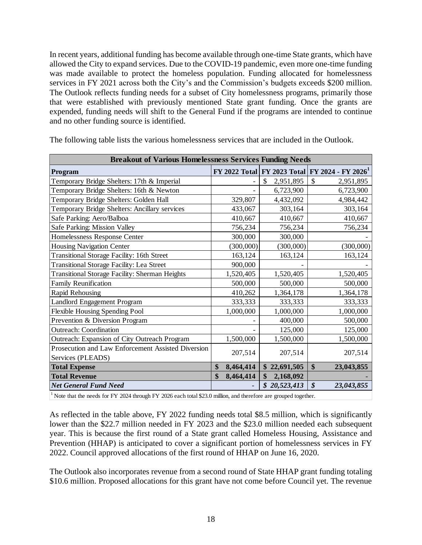In recent years, additional funding has become available through one-time State grants, which have allowed the City to expand services. Due to the COVID-19 pandemic, even more one-time funding was made available to protect the homeless population. Funding allocated for homelessness services in FY 2021 across both the City's and the Commission's budgets exceeds \$200 million. The Outlook reflects funding needs for a subset of City homelessness programs, primarily those that were established with previously mentioned State grant funding. Once the grants are expended, funding needs will shift to the General Fund if the programs are intended to continue and no other funding source is identified.

| <b>Breakout of Various Homelessness Services Funding Needs</b> |                 |                 |                                                                |
|----------------------------------------------------------------|-----------------|-----------------|----------------------------------------------------------------|
| Program                                                        |                 |                 | FY 2022 Total   FY 2023 Total   FY 2024 - FY 2026 <sup>1</sup> |
| Temporary Bridge Shelters: 17th & Imperial                     |                 | \$<br>2,951,895 | $\mathcal{S}$<br>2,951,895                                     |
| Temporary Bridge Shelters: 16th & Newton                       |                 | 6,723,900       | 6,723,900                                                      |
| Temporary Bridge Shelters: Golden Hall                         | 329,807         | 4,432,092       | 4,984,442                                                      |
| Temporary Bridge Shelters: Ancillary services                  | 433,067         | 303,164         | 303,164                                                        |
| Safe Parking: Aero/Balboa                                      | 410,667         | 410,667         | 410,667                                                        |
| Safe Parking: Mission Valley                                   | 756,234         | 756,234         | 756,234                                                        |
| Homelessness Response Center                                   | 300,000         | 300,000         |                                                                |
| <b>Housing Navigation Center</b>                               | (300,000)       | (300,000)       | (300,000)                                                      |
| <b>Transitional Storage Facility: 16th Street</b>              | 163,124         | 163,124         | 163,124                                                        |
| <b>Transitional Storage Facility: Lea Street</b>               | 900,000         |                 |                                                                |
| <b>Transitional Storage Facility: Sherman Heights</b>          | 1,520,405       | 1,520,405       | 1,520,405                                                      |
| <b>Family Reunification</b>                                    | 500,000         | 500,000         | 500,000                                                        |
| Rapid Rehousing                                                | 410,262         | 1,364,178       | 1,364,178                                                      |
| Landlord Engagement Program                                    | 333,333         | 333,333         | 333,333                                                        |
| Flexible Housing Spending Pool                                 | 1,000,000       | 1,000,000       | 1,000,000                                                      |
| Prevention & Diversion Program                                 |                 | 400,000         | 500,000                                                        |
| <b>Outreach: Coordination</b>                                  |                 | 125,000         | 125,000                                                        |
| Outreach: Expansion of City Outreach Program                   | 1,500,000       | 1,500,000       | 1,500,000                                                      |
| Prosecution and Law Enforcement Assisted Diversion             |                 |                 |                                                                |
| Services (PLEADS)                                              | 207,514         | 207,514         | 207,514                                                        |
| <b>Total Expense</b>                                           | \$<br>8,464,414 | \$22,691,505    | \$<br>23,043,855                                               |
| <b>Total Revenue</b>                                           | \$<br>8,464,414 | \$<br>2,168,092 |                                                                |
| <b>Net General Fund Need</b>                                   |                 | \$20,523,413    | $\boldsymbol{\mathcal{S}}$<br>23,043,855                       |

The following table lists the various homelessness services that are included in the Outlook.

<sup>1</sup> Note that the needs for FY 2024 through FY 2026 each total \$23.0 million, and therefore are grouped together.

As reflected in the table above, FY 2022 funding needs total \$8.5 million, which is significantly lower than the \$22.7 million needed in FY 2023 and the \$23.0 million needed each subsequent year. This is because the first round of a State grant called Homeless Housing, Assistance and Prevention (HHAP) is anticipated to cover a significant portion of homelessness services in FY 2022. Council approved allocations of the first round of HHAP on June 16, 2020.

The Outlook also incorporates revenue from a second round of State HHAP grant funding totaling \$10.6 million. Proposed allocations for this grant have not come before Council yet. The revenue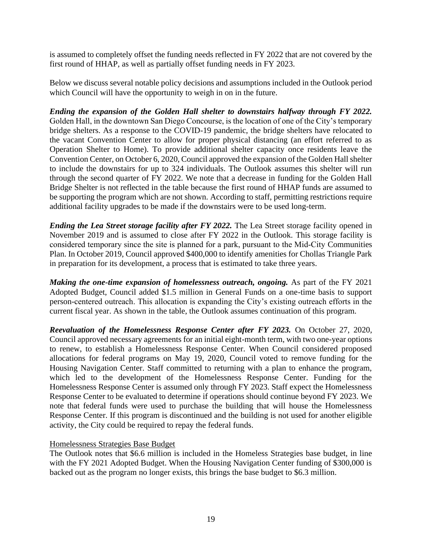is assumed to completely offset the funding needs reflected in FY 2022 that are not covered by the first round of HHAP, as well as partially offset funding needs in FY 2023.

Below we discuss several notable policy decisions and assumptions included in the Outlook period which Council will have the opportunity to weigh in on in the future.

*Ending the expansion of the Golden Hall shelter to downstairs halfway through FY 2022.* Golden Hall, in the downtown San Diego Concourse, is the location of one of the City's temporary bridge shelters. As a response to the COVID-19 pandemic, the bridge shelters have relocated to the vacant Convention Center to allow for proper physical distancing (an effort referred to as Operation Shelter to Home). To provide additional shelter capacity once residents leave the Convention Center, on October 6, 2020, Council approved the expansion of the Golden Hall shelter to include the downstairs for up to 324 individuals. The Outlook assumes this shelter will run through the second quarter of FY 2022. We note that a decrease in funding for the Golden Hall Bridge Shelter is not reflected in the table because the first round of HHAP funds are assumed to be supporting the program which are not shown. According to staff, permitting restrictions require additional facility upgrades to be made if the downstairs were to be used long-term.

*Ending the Lea Street storage facility after FY 2022.* The Lea Street storage facility opened in November 2019 and is assumed to close after FY 2022 in the Outlook. This storage facility is considered temporary since the site is planned for a park, pursuant to the Mid‐City Communities Plan. In October 2019, Council approved \$400,000 to identify amenities for Chollas Triangle Park in preparation for its development, a process that is estimated to take three years.

*Making the one-time expansion of homelessness outreach, ongoing.* As part of the FY 2021 Adopted Budget, Council added \$1.5 million in General Funds on a one-time basis to support person-centered outreach. This allocation is expanding the City's existing outreach efforts in the current fiscal year. As shown in the table, the Outlook assumes continuation of this program.

*Reevaluation of the Homelessness Response Center after FY 2023.* On October 27, 2020, Council approved necessary agreements for an initial eight-month term, with two one-year options to renew, to establish a Homelessness Response Center. When Council considered proposed allocations for federal programs on May 19, 2020, Council voted to remove funding for the Housing Navigation Center. Staff committed to returning with a plan to enhance the program, which led to the development of the Homelessness Response Center. Funding for the Homelessness Response Center is assumed only through FY 2023. Staff expect the Homelessness Response Center to be evaluated to determine if operations should continue beyond FY 2023. We note that federal funds were used to purchase the building that will house the Homelessness Response Center. If this program is discontinued and the building is not used for another eligible activity, the City could be required to repay the federal funds.

## Homelessness Strategies Base Budget

The Outlook notes that \$6.6 million is included in the Homeless Strategies base budget, in line with the FY 2021 Adopted Budget. When the Housing Navigation Center funding of \$300,000 is backed out as the program no longer exists, this brings the base budget to \$6.3 million.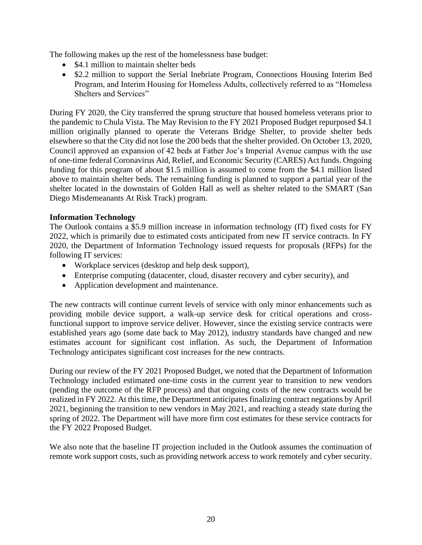The following makes up the rest of the homelessness base budget:

- \$4.1 million to maintain shelter beds
- \$2.2 million to support the Serial Inebriate Program, Connections Housing Interim Bed Program, and Interim Housing for Homeless Adults, collectively referred to as "Homeless Shelters and Services"

During FY 2020, the City transferred the sprung structure that housed homeless veterans prior to the pandemic to Chula Vista. The May Revision to the FY 2021 Proposed Budget repurposed \$4.1 million originally planned to operate the Veterans Bridge Shelter, to provide shelter beds elsewhere so that the City did not lose the 200 beds that the shelter provided. On October 13, 2020, Council approved an expansion of 42 beds at Father Joe's Imperial Avenue campus with the use of one-time federal Coronavirus Aid, Relief, and Economic Security (CARES) Act funds. Ongoing funding for this program of about \$1.5 million is assumed to come from the \$4.1 million listed above to maintain shelter beds. The remaining funding is planned to support a partial year of the shelter located in the downstairs of Golden Hall as well as shelter related to the SMART (San Diego Misdemeanants At Risk Track) program.

## **Information Technology**

The Outlook contains a \$5.9 million increase in information technology (IT) fixed costs for FY 2022, which is primarily due to estimated costs anticipated from new IT service contracts. In FY 2020, the Department of Information Technology issued requests for proposals (RFPs) for the following IT services:

- Workplace services (desktop and help desk support),
- Enterprise computing (datacenter, cloud, disaster recovery and cyber security), and
- Application development and maintenance.

The new contracts will continue current levels of service with only minor enhancements such as providing mobile device support, a walk-up service desk for critical operations and crossfunctional support to improve service deliver. However, since the existing service contracts were established years ago (some date back to May 2012), industry standards have changed and new estimates account for significant cost inflation. As such, the Department of Information Technology anticipates significant cost increases for the new contracts.

During our review of the FY 2021 Proposed Budget, we noted that the Department of Information Technology included estimated one-time costs in the current year to transition to new vendors (pending the outcome of the RFP process) and that ongoing costs of the new contracts would be realized in FY 2022. At this time, the Department anticipates finalizing contract negations by April 2021, beginning the transition to new vendors in May 2021, and reaching a steady state during the spring of 2022. The Department will have more firm cost estimates for these service contracts for the FY 2022 Proposed Budget.

We also note that the baseline IT projection included in the Outlook assumes the continuation of remote work support costs, such as providing network access to work remotely and cyber security.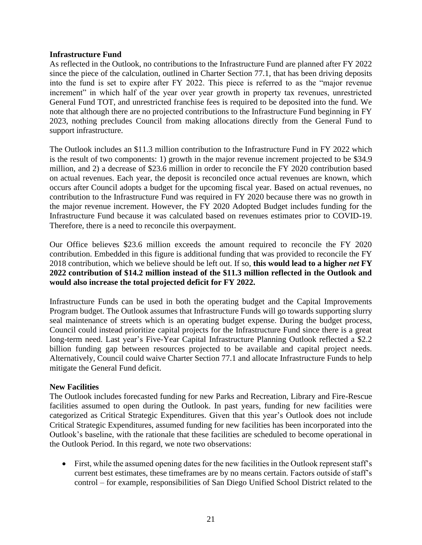## **Infrastructure Fund**

As reflected in the Outlook, no contributions to the Infrastructure Fund are planned after FY 2022 since the piece of the calculation, outlined in Charter Section 77.1, that has been driving deposits into the fund is set to expire after FY 2022. This piece is referred to as the "major revenue increment" in which half of the year over year growth in property tax revenues, unrestricted General Fund TOT, and unrestricted franchise fees is required to be deposited into the fund. We note that although there are no projected contributions to the Infrastructure Fund beginning in FY 2023, nothing precludes Council from making allocations directly from the General Fund to support infrastructure.

The Outlook includes an \$11.3 million contribution to the Infrastructure Fund in FY 2022 which is the result of two components: 1) growth in the major revenue increment projected to be \$34.9 million, and 2) a decrease of \$23.6 million in order to reconcile the FY 2020 contribution based on actual revenues. Each year, the deposit is reconciled once actual revenues are known, which occurs after Council adopts a budget for the upcoming fiscal year. Based on actual revenues, no contribution to the Infrastructure Fund was required in FY 2020 because there was no growth in the major revenue increment. However, the FY 2020 Adopted Budget includes funding for the Infrastructure Fund because it was calculated based on revenues estimates prior to COVID-19. Therefore, there is a need to reconcile this overpayment.

Our Office believes \$23.6 million exceeds the amount required to reconcile the FY 2020 contribution. Embedded in this figure is additional funding that was provided to reconcile the FY 2018 contribution, which we believe should be left out. If so, **this would lead to a higher** *net* **FY 2022 contribution of \$14.2 million instead of the \$11.3 million reflected in the Outlook and would also increase the total projected deficit for FY 2022.**

Infrastructure Funds can be used in both the operating budget and the Capital Improvements Program budget. The Outlook assumes that Infrastructure Funds will go towards supporting slurry seal maintenance of streets which is an operating budget expense. During the budget process, Council could instead prioritize capital projects for the Infrastructure Fund since there is a great long-term need. Last year's Five-Year Capital Infrastructure Planning Outlook reflected a \$2.2 billion funding gap between resources projected to be available and capital project needs. Alternatively, Council could waive Charter Section 77.1 and allocate Infrastructure Funds to help mitigate the General Fund deficit.

## **New Facilities**

The Outlook includes forecasted funding for new Parks and Recreation, Library and Fire-Rescue facilities assumed to open during the Outlook. In past years, funding for new facilities were categorized as Critical Strategic Expenditures. Given that this year's Outlook does not include Critical Strategic Expenditures, assumed funding for new facilities has been incorporated into the Outlook's baseline, with the rationale that these facilities are scheduled to become operational in the Outlook Period. In this regard, we note two observations:

• First, while the assumed opening dates for the new facilities in the Outlook represent staff's current best estimates, these timeframes are by no means certain. Factors outside of staff's control – for example, responsibilities of San Diego Unified School District related to the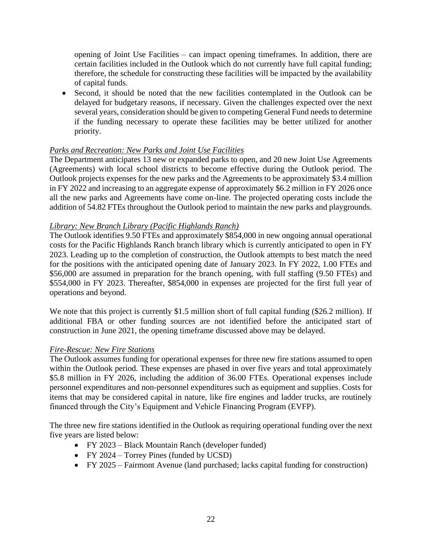opening of Joint Use Facilities – can impact opening timeframes. In addition, there are certain facilities included in the Outlook which do not currently have full capital funding; therefore, the schedule for constructing these facilities will be impacted by the availability of capital funds.

• Second, it should be noted that the new facilities contemplated in the Outlook can be delayed for budgetary reasons, if necessary. Given the challenges expected over the next several years, consideration should be given to competing General Fund needs to determine if the funding necessary to operate these facilities may be better utilized for another priority.

## *Parks and Recreation: New Parks and Joint Use Facilities*

The Department anticipates 13 new or expanded parks to open, and 20 new Joint Use Agreements (Agreements) with local school districts to become effective during the Outlook period. The Outlook projects expenses for the new parks and the Agreements to be approximately \$3.4 million in FY 2022 and increasing to an aggregate expense of approximately \$6.2 million in FY 2026 once all the new parks and Agreements have come on-line. The projected operating costs include the addition of 54.82 FTEs throughout the Outlook period to maintain the new parks and playgrounds.

## *Library: New Branch Library (Pacific Highlands Ranch)*

The Outlook identifies 9.50 FTEs and approximately \$854,000 in new ongoing annual operational costs for the Pacific Highlands Ranch branch library which is currently anticipated to open in FY 2023. Leading up to the completion of construction, the Outlook attempts to best match the need for the positions with the anticipated opening date of January 2023. In FY 2022, 1.00 FTEs and \$56,000 are assumed in preparation for the branch opening, with full staffing (9.50 FTEs) and \$554,000 in FY 2023. Thereafter, \$854,000 in expenses are projected for the first full year of operations and beyond.

We note that this project is currently \$1.5 million short of full capital funding (\$26.2 million). If additional FBA or other funding sources are not identified before the anticipated start of construction in June 2021, the opening timeframe discussed above may be delayed.

## *Fire-Rescue: New Fire Stations*

The Outlook assumes funding for operational expenses for three new fire stations assumed to open within the Outlook period. These expenses are phased in over five years and total approximately \$5.8 million in FY 2026, including the addition of 36.00 FTEs. Operational expenses include personnel expenditures and non-personnel expenditures such as equipment and supplies. Costs for items that may be considered capital in nature, like fire engines and ladder trucks, are routinely financed through the City's Equipment and Vehicle Financing Program (EVFP).

The three new fire stations identified in the Outlook as requiring operational funding over the next five years are listed below:

- FY 2023 Black Mountain Ranch (developer funded)
- FY 2024 Torrey Pines (funded by UCSD)
- FY 2025 Fairmont Avenue (land purchased; lacks capital funding for construction)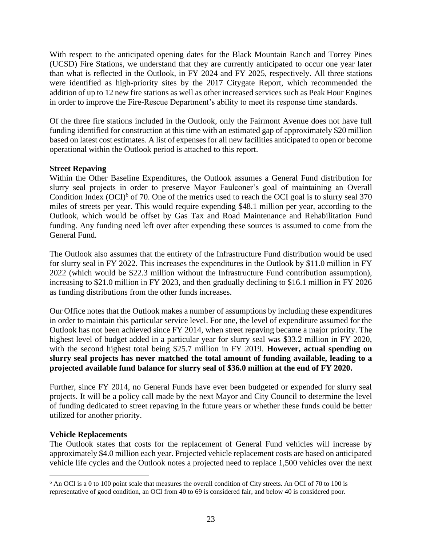With respect to the anticipated opening dates for the Black Mountain Ranch and Torrey Pines (UCSD) Fire Stations, we understand that they are currently anticipated to occur one year later than what is reflected in the Outlook, in FY 2024 and FY 2025, respectively. All three stations were identified as high-priority sites by the 2017 Citygate Report, which recommended the addition of up to 12 new fire stations as well as other increased services such as Peak Hour Engines in order to improve the Fire-Rescue Department's ability to meet its response time standards.

Of the three fire stations included in the Outlook, only the Fairmont Avenue does not have full funding identified for construction at this time with an estimated gap of approximately \$20 million based on latest cost estimates. A list of expenses for all new facilities anticipated to open or become operational within the Outlook period is attached to this report.

## **Street Repaving**

Within the Other Baseline Expenditures, the Outlook assumes a General Fund distribution for slurry seal projects in order to preserve Mayor Faulconer's goal of maintaining an Overall Condition Index (OCI)<sup>6</sup> of 70. One of the metrics used to reach the OCI goal is to slurry seal 370 miles of streets per year. This would require expending \$48.1 million per year, according to the Outlook, which would be offset by Gas Tax and Road Maintenance and Rehabilitation Fund funding. Any funding need left over after expending these sources is assumed to come from the General Fund.

The Outlook also assumes that the entirety of the Infrastructure Fund distribution would be used for slurry seal in FY 2022. This increases the expenditures in the Outlook by \$11.0 million in FY 2022 (which would be \$22.3 million without the Infrastructure Fund contribution assumption), increasing to \$21.0 million in FY 2023, and then gradually declining to \$16.1 million in FY 2026 as funding distributions from the other funds increases.

Our Office notes that the Outlook makes a number of assumptions by including these expenditures in order to maintain this particular service level. For one, the level of expenditure assumed for the Outlook has not been achieved since FY 2014, when street repaving became a major priority. The highest level of budget added in a particular year for slurry seal was \$33.2 million in FY 2020, with the second highest total being \$25.7 million in FY 2019. **However, actual spending on slurry seal projects has never matched the total amount of funding available, leading to a projected available fund balance for slurry seal of \$36.0 million at the end of FY 2020.**

Further, since FY 2014, no General Funds have ever been budgeted or expended for slurry seal projects. It will be a policy call made by the next Mayor and City Council to determine the level of funding dedicated to street repaving in the future years or whether these funds could be better utilized for another priority.

## **Vehicle Replacements**

The Outlook states that costs for the replacement of General Fund vehicles will increase by approximately \$4.0 million each year. Projected vehicle replacement costs are based on anticipated vehicle life cycles and the Outlook notes a projected need to replace 1,500 vehicles over the next

<sup>6</sup> An OCI is a 0 to 100 point scale that measures the overall condition of City streets. An OCI of 70 to 100 is representative of good condition, an OCI from 40 to 69 is considered fair, and below 40 is considered poor.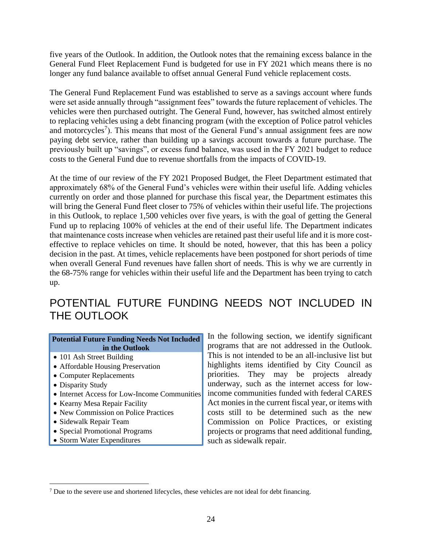five years of the Outlook. In addition, the Outlook notes that the remaining excess balance in the General Fund Fleet Replacement Fund is budgeted for use in FY 2021 which means there is no longer any fund balance available to offset annual General Fund vehicle replacement costs.

The General Fund Replacement Fund was established to serve as a savings account where funds were set aside annually through "assignment fees" towards the future replacement of vehicles. The vehicles were then purchased outright. The General Fund, however, has switched almost entirely to replacing vehicles using a debt financing program (with the exception of Police patrol vehicles and motorcycles<sup>7</sup>). This means that most of the General Fund's annual assignment fees are now paying debt service, rather than building up a savings account towards a future purchase. The previously built up "savings", or excess fund balance, was used in the FY 2021 budget to reduce costs to the General Fund due to revenue shortfalls from the impacts of COVID-19.

At the time of our review of the FY 2021 Proposed Budget, the Fleet Department estimated that approximately 68% of the General Fund's vehicles were within their useful life. Adding vehicles currently on order and those planned for purchase this fiscal year, the Department estimates this will bring the General Fund fleet closer to 75% of vehicles within their useful life. The projections in this Outlook, to replace 1,500 vehicles over five years, is with the goal of getting the General Fund up to replacing 100% of vehicles at the end of their useful life. The Department indicates that maintenance costs increase when vehicles are retained past their useful life and it is more costeffective to replace vehicles on time. It should be noted, however, that this has been a policy decision in the past. At times, vehicle replacements have been postponed for short periods of time when overall General Fund revenues have fallen short of needs. This is why we are currently in the 68-75% range for vehicles within their useful life and the Department has been trying to catch up.

## POTENTIAL FUTURE FUNDING NEEDS NOT INCLUDED IN THE OUTLOOK

#### **Potential Future Funding Needs Not Included in the Outlook**

- 101 Ash Street Building
- Affordable Housing Preservation
- Computer Replacements
- Disparity Study
- Internet Access for Low-Income Communities
- Kearny Mesa Repair Facility
- New Commission on Police Practices
- Sidewalk Repair Team
- Special Promotional Programs
- Storm Water Expenditures

In the following section, we identify significant programs that are not addressed in the Outlook. This is not intended to be an all-inclusive list but highlights items identified by City Council as priorities. They may be projects already underway, such as the internet access for lowincome communities funded with federal CARES Act monies in the current fiscal year, or items with costs still to be determined such as the new Commission on Police Practices, or existing projects or programs that need additional funding, such as sidewalk repair.

<sup>7</sup> Due to the severe use and shortened lifecycles, these vehicles are not ideal for debt financing.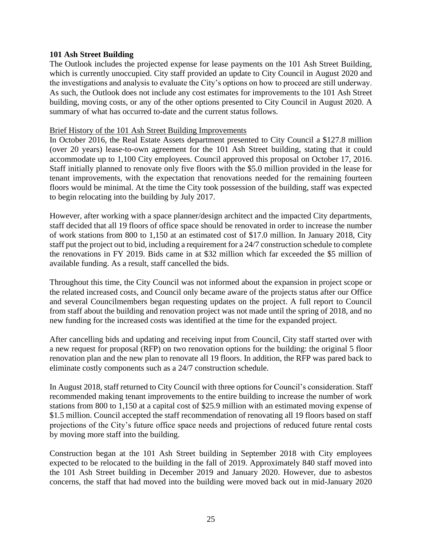## **101 Ash Street Building**

The Outlook includes the projected expense for lease payments on the 101 Ash Street Building, which is currently unoccupied. City staff provided an update to City Council in August 2020 and the investigations and analysis to evaluate the City's options on how to proceed are still underway. As such, the Outlook does not include any cost estimates for improvements to the 101 Ash Street building, moving costs, or any of the other options presented to City Council in August 2020. A summary of what has occurred to-date and the current status follows.

#### Brief History of the 101 Ash Street Building Improvements

In October 2016, the Real Estate Assets department presented to City Council a \$127.8 million (over 20 years) lease-to-own agreement for the 101 Ash Street building, stating that it could accommodate up to 1,100 City employees. Council approved this proposal on October 17, 2016. Staff initially planned to renovate only five floors with the \$5.0 million provided in the lease for tenant improvements, with the expectation that renovations needed for the remaining fourteen floors would be minimal. At the time the City took possession of the building, staff was expected to begin relocating into the building by July 2017.

However, after working with a space planner/design architect and the impacted City departments, staff decided that all 19 floors of office space should be renovated in order to increase the number of work stations from 800 to 1,150 at an estimated cost of \$17.0 million. In January 2018, City staff put the project out to bid, including a requirement for a 24/7 construction schedule to complete the renovations in FY 2019. Bids came in at \$32 million which far exceeded the \$5 million of available funding. As a result, staff cancelled the bids.

Throughout this time, the City Council was not informed about the expansion in project scope or the related increased costs, and Council only became aware of the projects status after our Office and several Councilmembers began requesting updates on the project. A full report to Council from staff about the building and renovation project was not made until the spring of 2018, and no new funding for the increased costs was identified at the time for the expanded project.

After cancelling bids and updating and receiving input from Council, City staff started over with a new request for proposal (RFP) on two renovation options for the building: the original 5 floor renovation plan and the new plan to renovate all 19 floors. In addition, the RFP was pared back to eliminate costly components such as a 24/7 construction schedule.

In August 2018, staff returned to City Council with three options for Council's consideration. Staff recommended making tenant improvements to the entire building to increase the number of work stations from 800 to 1,150 at a capital cost of \$25.9 million with an estimated moving expense of \$1.5 million. Council accepted the staff recommendation of renovating all 19 floors based on staff projections of the City's future office space needs and projections of reduced future rental costs by moving more staff into the building.

Construction began at the 101 Ash Street building in September 2018 with City employees expected to be relocated to the building in the fall of 2019. Approximately 840 staff moved into the 101 Ash Street building in December 2019 and January 2020. However, due to asbestos concerns, the staff that had moved into the building were moved back out in mid-January 2020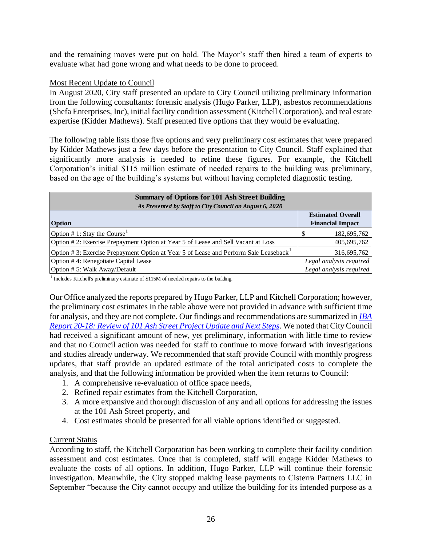and the remaining moves were put on hold. The Mayor's staff then hired a team of experts to evaluate what had gone wrong and what needs to be done to proceed.

## Most Recent Update to Council

In August 2020, City staff presented an update to City Council utilizing preliminary information from the following consultants: forensic analysis (Hugo Parker, LLP), asbestos recommendations (Shefa Enterprises, Inc), initial facility condition assessment (Kitchell Corporation), and real estate expertise (Kidder Mathews). Staff presented five options that they would be evaluating.

The following table lists those five options and very preliminary cost estimates that were prepared by Kidder Mathews just a few days before the presentation to City Council. Staff explained that significantly more analysis is needed to refine these figures. For example, the Kitchell Corporation's initial \$115 million estimate of needed repairs to the building was preliminary, based on the age of the building's systems but without having completed diagnostic testing.

| <b>Summary of Options for 101 Ash Street Building</b><br>As Presented by Staff to City Council on August 6, 2020 |                                                     |
|------------------------------------------------------------------------------------------------------------------|-----------------------------------------------------|
| Option                                                                                                           | <b>Estimated Overall</b><br><b>Financial Impact</b> |
| Option # 1: Stay the Course <sup>1</sup>                                                                         | 182,695,762                                         |
| Option #2: Exercise Prepayment Option at Year 5 of Lease and Sell Vacant at Loss                                 | 405,695,762                                         |
| Option #3: Exercise Prepayment Option at Year 5 of Lease and Perform Sale Leaseback <sup>1</sup>                 | 316,695,762                                         |
| Option #4: Renegotiate Capital Lease                                                                             | Legal analysis required                             |
| Option #5: Walk Away/Default                                                                                     | Legal analysis required                             |

 $1$  Includes Kitchell's preliminary estimate of \$115M of needed repairs to the building.

Our Office analyzed the reports prepared by Hugo Parker, LLP and Kitchell Corporation; however, the preliminary cost estimates in the table above were not provided in advance with sufficient time for analysis, and they are not complete. Our findings and recommendations are summarized in *[IBA](https://www.sandiego.gov/sites/default/files/ibareport-20-18.pdf)  Report 20-18: [Review of 101 Ash Street Project Update and Next Steps](https://www.sandiego.gov/sites/default/files/ibareport-20-18.pdf)*. We noted that City Council had received a significant amount of new, yet preliminary, information with little time to review and that no Council action was needed for staff to continue to move forward with investigations and studies already underway. We recommended that staff provide Council with monthly progress updates, that staff provide an updated estimate of the total anticipated costs to complete the analysis, and that the following information be provided when the item returns to Council:

- 1. A comprehensive re-evaluation of office space needs,
- 2. Refined repair estimates from the Kitchell Corporation,
- 3. A more expansive and thorough discussion of any and all options for addressing the issues at the 101 Ash Street property, and
- 4. Cost estimates should be presented for all viable options identified or suggested.

## Current Status

According to staff, the Kitchell Corporation has been working to complete their facility condition assessment and cost estimates. Once that is completed, staff will engage Kidder Mathews to evaluate the costs of all options. In addition, Hugo Parker, LLP will continue their forensic investigation. Meanwhile, the City stopped making lease payments to Cisterra Partners LLC in September "because the City cannot occupy and utilize the building for its intended purpose as a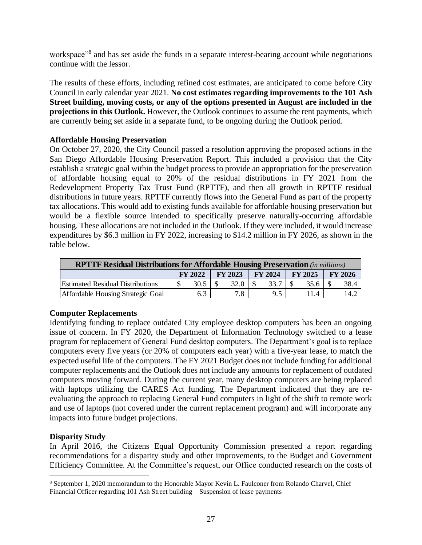workspace"<sup>8</sup> and has set aside the funds in a separate interest-bearing account while negotiations continue with the lessor.

The results of these efforts, including refined cost estimates, are anticipated to come before City Council in early calendar year 2021. **No cost estimates regarding improvements to the 101 Ash Street building, moving costs, or any of the options presented in August are included in the projections in this Outlook.** However, the Outlook continues to assume the rent payments, which are currently being set aside in a separate fund, to be ongoing during the Outlook period.

## **Affordable Housing Preservation**

On October 27, 2020, the City Council passed a resolution approving the proposed actions in the San Diego Affordable Housing Preservation Report. This included a provision that the City establish a strategic goal within the budget process to provide an appropriation for the preservation of affordable housing equal to 20% of the residual distributions in FY 2021 from the Redevelopment Property Tax Trust Fund (RPTTF), and then all growth in RPTTF residual distributions in future years. RPTTF currently flows into the General Fund as part of the property tax allocations. This would add to existing funds available for affordable housing preservation but would be a flexible source intended to specifically preserve naturally-occurring affordable housing. These allocations are not included in the Outlook. If they were included, it would increase expenditures by \$6.3 million in FY 2022, increasing to \$14.2 million in FY 2026, as shown in the table below.

| <b>RPTTF Residual Distributions for Affordable Housing Preservation</b> (in millions)  |  |      |  |      |  |      |  |      |  |      |  |  |  |
|----------------------------------------------------------------------------------------|--|------|--|------|--|------|--|------|--|------|--|--|--|
| <b>FY 2022</b><br><b>FY 2023</b><br><b>FY 2024</b><br><b>FY 2025</b><br><b>FY 2026</b> |  |      |  |      |  |      |  |      |  |      |  |  |  |
| <b>Estimated Residual Distributions</b>                                                |  | 30.5 |  | 32.0 |  | 33.7 |  | 35.6 |  | 38.4 |  |  |  |
| Affordable Housing Strategic Goal                                                      |  | 6.3  |  | 7.8  |  | 9.5  |  | 11.4 |  | 14.2 |  |  |  |

## **Computer Replacements**

Identifying funding to replace outdated City employee desktop computers has been an ongoing issue of concern. In FY 2020, the Department of Information Technology switched to a lease program for replacement of General Fund desktop computers. The Department's goal is to replace computers every five years (or 20% of computers each year) with a five-year lease, to match the expected useful life of the computers. The FY 2021 Budget does not include funding for additional computer replacements and the Outlook does not include any amounts for replacement of outdated computers moving forward. During the current year, many desktop computers are being replaced with laptops utilizing the CARES Act funding. The Department indicated that they are reevaluating the approach to replacing General Fund computers in light of the shift to remote work and use of laptops (not covered under the current replacement program) and will incorporate any impacts into future budget projections.

## **Disparity Study**

In April 2016, the Citizens Equal Opportunity Commission presented a report regarding recommendations for a disparity study and other improvements, to the Budget and Government Efficiency Committee. At the Committee's request, our Office conducted research on the costs of

<sup>8</sup> September 1, 2020 memorandum to the Honorable Mayor Kevin L. Faulconer from Rolando Charvel, Chief Financial Officer regarding 101 Ash Street building – Suspension of lease payments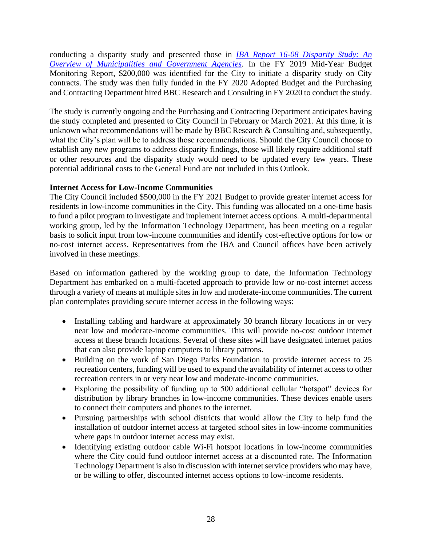conducting a disparity study and presented those in *[IBA Report 16-08 Disparity Study: An](https://www.sandiego.gov/sites/default/files/16_08_0.pdf)  [Overview of Municipalities and Government Agencies](https://www.sandiego.gov/sites/default/files/16_08_0.pdf)*. In the FY 2019 Mid-Year Budget Monitoring Report, \$200,000 was identified for the City to initiate a disparity study on City contracts. The study was then fully funded in the FY 2020 Adopted Budget and the Purchasing and Contracting Department hired BBC Research and Consulting in FY 2020 to conduct the study.

The study is currently ongoing and the Purchasing and Contracting Department anticipates having the study completed and presented to City Council in February or March 2021. At this time, it is unknown what recommendations will be made by BBC Research & Consulting and, subsequently, what the City's plan will be to address those recommendations. Should the City Council choose to establish any new programs to address disparity findings, those will likely require additional staff or other resources and the disparity study would need to be updated every few years. These potential additional costs to the General Fund are not included in this Outlook.

## **Internet Access for Low-Income Communities**

The City Council included \$500,000 in the FY 2021 Budget to provide greater internet access for residents in low-income communities in the City. This funding was allocated on a one-time basis to fund a pilot program to investigate and implement internet access options. A multi-departmental working group, led by the Information Technology Department, has been meeting on a regular basis to solicit input from low-income communities and identify cost-effective options for low or no-cost internet access. Representatives from the IBA and Council offices have been actively involved in these meetings.

Based on information gathered by the working group to date, the Information Technology Department has embarked on a multi-faceted approach to provide low or no-cost internet access through a variety of means at multiple sites in low and moderate-income communities. The current plan contemplates providing secure internet access in the following ways:

- Installing cabling and hardware at approximately 30 branch library locations in or very near low and moderate-income communities. This will provide no-cost outdoor internet access at these branch locations. Several of these sites will have designated internet patios that can also provide laptop computers to library patrons.
- Building on the work of San Diego Parks Foundation to provide internet access to 25 recreation centers, funding will be used to expand the availability of internet access to other recreation centers in or very near low and moderate-income communities.
- Exploring the possibility of funding up to 500 additional cellular "hotspot" devices for distribution by library branches in low-income communities. These devices enable users to connect their computers and phones to the internet.
- Pursuing partnerships with school districts that would allow the City to help fund the installation of outdoor internet access at targeted school sites in low-income communities where gaps in outdoor internet access may exist.
- Identifying existing outdoor cable Wi-Fi hotspot locations in low-income communities where the City could fund outdoor internet access at a discounted rate. The Information Technology Department is also in discussion with internet service providers who may have, or be willing to offer, discounted internet access options to low-income residents.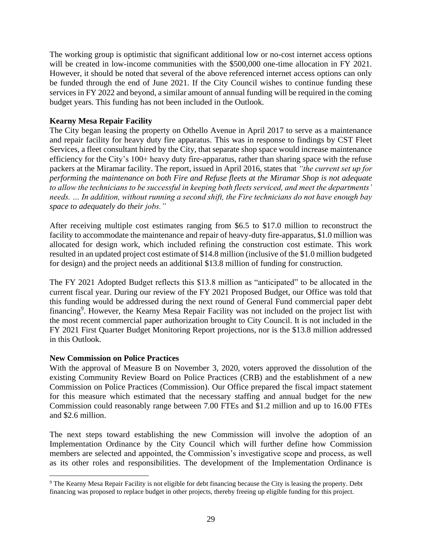The working group is optimistic that significant additional low or no-cost internet access options will be created in low-income communities with the \$500,000 one-time allocation in FY 2021. However, it should be noted that several of the above referenced internet access options can only be funded through the end of June 2021. If the City Council wishes to continue funding these services in FY 2022 and beyond, a similar amount of annual funding will be required in the coming budget years. This funding has not been included in the Outlook.

## **Kearny Mesa Repair Facility**

The City began leasing the property on Othello Avenue in April 2017 to serve as a maintenance and repair facility for heavy duty fire apparatus. This was in response to findings by CST Fleet Services, a fleet consultant hired by the City, that separate shop space would increase maintenance efficiency for the City's 100+ heavy duty fire-apparatus, rather than sharing space with the refuse packers at the Miramar facility. The report, issued in April 2016, states that *"the current set up for performing the maintenance on both Fire and Refuse fleets at the Miramar Shop is not adequate to allow the technicians to be successful in keeping both fleets serviced, and meet the departments' needs. … In addition, without running a second shift, the Fire technicians do not have enough bay space to adequately do their jobs."* 

After receiving multiple cost estimates ranging from \$6.5 to \$17.0 million to reconstruct the facility to accommodate the maintenance and repair of heavy-duty fire-apparatus, \$1.0 million was allocated for design work, which included refining the construction cost estimate. This work resulted in an updated project cost estimate of \$14.8 million (inclusive of the \$1.0 million budgeted for design) and the project needs an additional \$13.8 million of funding for construction.

The FY 2021 Adopted Budget reflects this \$13.8 million as "anticipated" to be allocated in the current fiscal year. During our review of the FY 2021 Proposed Budget, our Office was told that this funding would be addressed during the next round of General Fund commercial paper debt financing<sup>9</sup>. However, the Kearny Mesa Repair Facility was not included on the project list with the most recent commercial paper authorization brought to City Council. It is not included in the FY 2021 First Quarter Budget Monitoring Report projections, nor is the \$13.8 million addressed in this Outlook.

## **New Commission on Police Practices**

With the approval of Measure B on November 3, 2020, voters approved the dissolution of the existing Community Review Board on Police Practices (CRB) and the establishment of a new Commission on Police Practices (Commission). Our Office prepared the fiscal impact statement for this measure which estimated that the necessary staffing and annual budget for the new Commission could reasonably range between 7.00 FTEs and \$1.2 million and up to 16.00 FTEs and \$2.6 million.

The next steps toward establishing the new Commission will involve the adoption of an Implementation Ordinance by the City Council which will further define how Commission members are selected and appointed, the Commission's investigative scope and process, as well as its other roles and responsibilities. The development of the Implementation Ordinance is

<sup>&</sup>lt;sup>9</sup> The Kearny Mesa Repair Facility is not eligible for debt financing because the City is leasing the property. Debt financing was proposed to replace budget in other projects, thereby freeing up eligible funding for this project.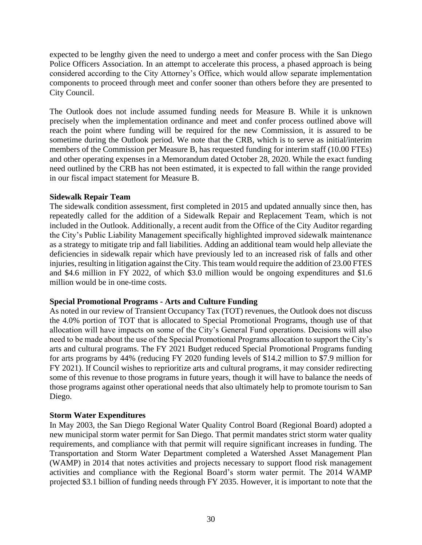expected to be lengthy given the need to undergo a meet and confer process with the San Diego Police Officers Association. In an attempt to accelerate this process, a phased approach is being considered according to the City Attorney's Office, which would allow separate implementation components to proceed through meet and confer sooner than others before they are presented to City Council.

The Outlook does not include assumed funding needs for Measure B. While it is unknown precisely when the implementation ordinance and meet and confer process outlined above will reach the point where funding will be required for the new Commission, it is assured to be sometime during the Outlook period. We note that the CRB, which is to serve as initial/interim members of the Commission per Measure B, has requested funding for interim staff (10.00 FTEs) and other operating expenses in a Memorandum dated October 28, 2020. While the exact funding need outlined by the CRB has not been estimated, it is expected to fall within the range provided in our fiscal impact statement for Measure B.

## **Sidewalk Repair Team**

The sidewalk condition assessment, first completed in 2015 and updated annually since then, has repeatedly called for the addition of a Sidewalk Repair and Replacement Team, which is not included in the Outlook. Additionally, a recent audit from the Office of the City Auditor regarding the City's Public Liability Management specifically highlighted improved sidewalk maintenance as a strategy to mitigate trip and fall liabilities. Adding an additional team would help alleviate the deficiencies in sidewalk repair which have previously led to an increased risk of falls and other injuries, resulting in litigation against the City. This team would require the addition of 23.00 FTES and \$4.6 million in FY 2022, of which \$3.0 million would be ongoing expenditures and \$1.6 million would be in one-time costs.

## **Special Promotional Programs - Arts and Culture Funding**

As noted in our review of Transient Occupancy Tax (TOT) revenues, the Outlook does not discuss the 4.0% portion of TOT that is allocated to Special Promotional Programs, though use of that allocation will have impacts on some of the City's General Fund operations. Decisions will also need to be made about the use of the Special Promotional Programs allocation to support the City's arts and cultural programs. The FY 2021 Budget reduced Special Promotional Programs funding for arts programs by 44% (reducing FY 2020 funding levels of \$14.2 million to \$7.9 million for FY 2021). If Council wishes to reprioritize arts and cultural programs, it may consider redirecting some of this revenue to those programs in future years, though it will have to balance the needs of those programs against other operational needs that also ultimately help to promote tourism to San Diego.

## **Storm Water Expenditures**

In May 2003, the San Diego Regional Water Quality Control Board (Regional Board) adopted a new municipal storm water permit for San Diego. That permit mandates strict storm water quality requirements, and compliance with that permit will require significant increases in funding. The Transportation and Storm Water Department completed a Watershed Asset Management Plan (WAMP) in 2014 that notes activities and projects necessary to support flood risk management activities and compliance with the Regional Board's storm water permit. The 2014 WAMP projected \$3.1 billion of funding needs through FY 2035. However, it is important to note that the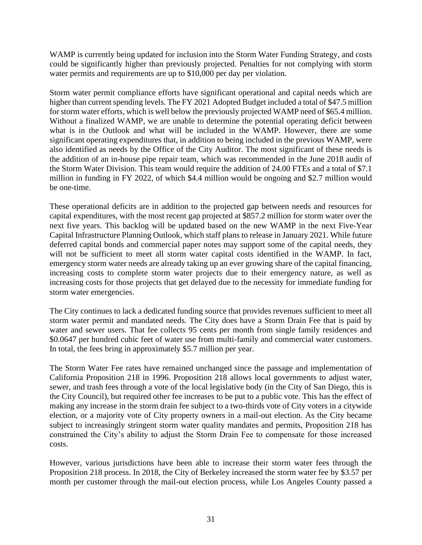WAMP is currently being updated for inclusion into the Storm Water Funding Strategy, and costs could be significantly higher than previously projected. Penalties for not complying with storm water permits and requirements are up to \$10,000 per day per violation.

Storm water permit compliance efforts have significant operational and capital needs which are higher than current spending levels. The FY 2021 Adopted Budget included a total of \$47.5 million for storm water efforts, which is well below the previously projected WAMP need of \$65.4 million. Without a finalized WAMP, we are unable to determine the potential operating deficit between what is in the Outlook and what will be included in the WAMP. However, there are some significant operating expenditures that, in addition to being included in the previous WAMP, were also identified as needs by the Office of the City Auditor. The most significant of these needs is the addition of an in-house pipe repair team, which was recommended in the June 2018 audit of the Storm Water Division. This team would require the addition of 24.00 FTEs and a total of \$7.1 million in funding in FY 2022, of which \$4.4 million would be ongoing and \$2.7 million would be one-time.

These operational deficits are in addition to the projected gap between needs and resources for capital expenditures, with the most recent gap projected at \$857.2 million for storm water over the next five years. This backlog will be updated based on the new WAMP in the next Five-Year Capital Infrastructure Planning Outlook, which staff plans to release in January 2021. While future deferred capital bonds and commercial paper notes may support some of the capital needs, they will not be sufficient to meet all storm water capital costs identified in the WAMP. In fact, emergency storm water needs are already taking up an ever growing share of the capital financing, increasing costs to complete storm water projects due to their emergency nature, as well as increasing costs for those projects that get delayed due to the necessity for immediate funding for storm water emergencies.

The City continues to lack a dedicated funding source that provides revenues sufficient to meet all storm water permit and mandated needs. The City does have a Storm Drain Fee that is paid by water and sewer users. That fee collects 95 cents per month from single family residences and \$0.0647 per hundred cubic feet of water use from multi-family and commercial water customers. In total, the fees bring in approximately \$5.7 million per year.

The Storm Water Fee rates have remained unchanged since the passage and implementation of California Proposition 218 in 1996. Proposition 218 allows local governments to adjust water, sewer, and trash fees through a vote of the local legislative body (in the City of San Diego, this is the City Council), but required other fee increases to be put to a public vote. This has the effect of making any increase in the storm drain fee subject to a two-thirds vote of City voters in a citywide election, or a majority vote of City property owners in a mail-out election. As the City became subject to increasingly stringent storm water quality mandates and permits, Proposition 218 has constrained the City's ability to adjust the Storm Drain Fee to compensate for those increased costs.

However, various jurisdictions have been able to increase their storm water fees through the Proposition 218 process. In 2018, the City of Berkeley increased the storm water fee by \$3.57 per month per customer through the mail-out election process, while Los Angeles County passed a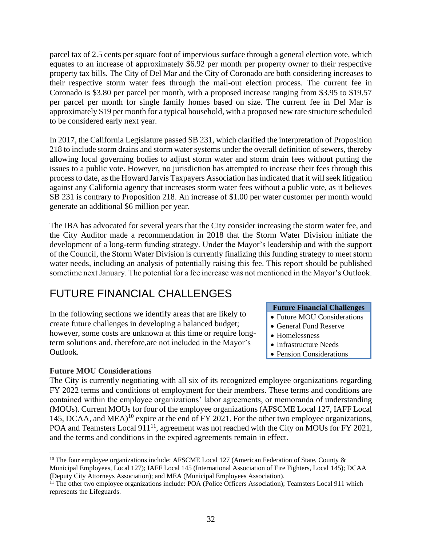parcel tax of 2.5 cents per square foot of impervious surface through a general election vote, which equates to an increase of approximately \$6.92 per month per property owner to their respective property tax bills. The City of Del Mar and the City of Coronado are both considering increases to their respective storm water fees through the mail-out election process. The current fee in Coronado is \$3.80 per parcel per month, with a proposed increase ranging from \$3.95 to \$19.57 per parcel per month for single family homes based on size. The current fee in Del Mar is approximately \$19 per month for a typical household, with a proposed new rate structure scheduled to be considered early next year.

In 2017, the California Legislature passed SB 231, which clarified the interpretation of Proposition 218 to include storm drains and storm water systems under the overall definition of sewers, thereby allowing local governing bodies to adjust storm water and storm drain fees without putting the issues to a public vote. However, no jurisdiction has attempted to increase their fees through this process to date, as the Howard Jarvis Taxpayers Association has indicated that it will seek litigation against any California agency that increases storm water fees without a public vote, as it believes SB 231 is contrary to Proposition 218. An increase of \$1.00 per water customer per month would generate an additional \$6 million per year.

The IBA has advocated for several years that the City consider increasing the storm water fee, and the City Auditor made a recommendation in 2018 that the Storm Water Division initiate the development of a long-term funding strategy. Under the Mayor's leadership and with the support of the Council, the Storm Water Division is currently finalizing this funding strategy to meet storm water needs, including an analysis of potentially raising this fee. This report should be published sometime next January. The potential for a fee increase was not mentioned in the Mayor's Outlook.

## FUTURE FINANCIAL CHALLENGES

In the following sections we identify areas that are likely to create future challenges in developing a balanced budget; however, some costs are unknown at this time or require longterm solutions and, therefore,are not included in the Mayor's Outlook.

## **Future MOU Considerations**

#### **Future Financial Challenges**

- Future MOU Considerations
- General Fund Reserve
- Homelessness
- Infrastructure Needs
- Pension Considerations

The City is currently negotiating with all six of its recognized employee organizations regarding FY 2022 terms and conditions of employment for their members. These terms and conditions are contained within the employee organizations' labor agreements, or memoranda of understanding (MOUs). Current MOUs for four of the employee organizations (AFSCME Local 127, IAFF Local 145, DCAA, and MEA)<sup>10</sup> expire at the end of FY 2021. For the other two employee organizations, POA and Teamsters Local 911<sup>11</sup>, agreement was not reached with the City on MOUs for FY 2021, and the terms and conditions in the expired agreements remain in effect.

<sup>&</sup>lt;sup>10</sup> The four employee organizations include: AFSCME Local 127 (American Federation of State, County  $\&$ Municipal Employees, Local 127); IAFF Local 145 (International Association of Fire Fighters, Local 145); DCAA (Deputy City Attorneys Association); and MEA (Municipal Employees Association).

<sup>&</sup>lt;sup>11</sup> The other two employee organizations include: POA (Police Officers Association); Teamsters Local 911 which represents the Lifeguards.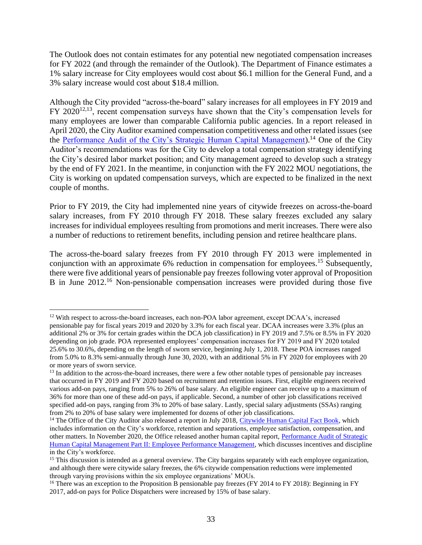The Outlook does not contain estimates for any potential new negotiated compensation increases for FY 2022 (and through the remainder of the Outlook). The Department of Finance estimates a 1% salary increase for City employees would cost about \$6.1 million for the General Fund, and a 3% salary increase would cost about \$18.4 million.

Although the City provided "across-the-board" salary increases for all employees in FY 2019 and FY 2020<sup>12,13</sup>, recent compensation surveys have shown that the City's compensation levels for many employees are lower than comparable California public agencies. In a report released in April 2020, the City Auditor examined compensation competitiveness and other related issues (see the [Performance Audit of the City's Strategic Human Capital Management\)](https://www.sandiego.gov/sites/default/files/20-011_humancapitalmanagement.pdf).<sup>14</sup> One of the City Auditor's recommendations was for the City to develop a total compensation strategy identifying the City's desired labor market position; and City management agreed to develop such a strategy by the end of FY 2021. In the meantime, in conjunction with the FY 2022 MOU negotiations, the City is working on updated compensation surveys, which are expected to be finalized in the next couple of months.

Prior to FY 2019, the City had implemented nine years of citywide freezes on across-the-board salary increases, from FY 2010 through FY 2018. These salary freezes excluded any salary increases for individual employees resulting from promotions and merit increases. There were also a number of reductions to retirement benefits, including pension and retiree healthcare plans.

The across-the-board salary freezes from FY 2010 through FY 2013 were implemented in conjunction with an approximate 6% reduction in compensation for employees.<sup>15</sup> Subsequently, there were five additional years of pensionable pay freezes following voter approval of Proposition B in June 2012.<sup>16</sup> Non-pensionable compensation increases were provided during those five

<sup>&</sup>lt;sup>12</sup> With respect to across-the-board increases, each non-POA labor agreement, except DCAA's, increased pensionable pay for fiscal years 2019 and 2020 by 3.3% for each fiscal year. DCAA increases were 3.3% (plus an additional 2% or 3% for certain grades within the DCA job classification) in FY 2019 and 7.5% or 8.5% in FY 2020 depending on job grade. POA represented employees' compensation increases for FY 2019 and FY 2020 totaled 25.6% to 30.6%, depending on the length of sworn service, beginning July 1, 2018. These POA increases ranged from 5.0% to 8.3% semi-annually through June 30, 2020, with an additional 5% in FY 2020 for employees with 20 or more years of sworn service.

<sup>&</sup>lt;sup>13</sup> In addition to the across-the-board increases, there were a few other notable types of pensionable pay increases that occurred in FY 2019 and FY 2020 based on recruitment and retention issues. First, eligible engineers received various add-on pays, ranging from 5% to 26% of base salary. An eligible engineer can receive up to a maximum of 36% for more than one of these add-on pays, if applicable. Second, a number of other job classifications received specified add-on pays, ranging from 3% to 20% of base salary. Lastly, special salary adjustments (SSAs) ranging from 2% to 20% of base salary were implemented for dozens of other job classifications.

<sup>&</sup>lt;sup>14</sup> The Office of the City Auditor also released a report in July 2018, [Citywide Human Capital Fact Book,](https://www.sandiego.gov/sites/default/files/19-001_citywide_human_capital_fact_book.pdf) which includes information on the City's workforce, retention and separations, employee satisfaction, compensation, and other matters. In November 2020, the Office released another human capital report, [Performance Audit of Strategic](https://www.sandiego.gov/sites/default/files/21-006_shcm_part2.pdf)  [Human Capital Management Part II: Employee Performance Management,](https://www.sandiego.gov/sites/default/files/21-006_shcm_part2.pdf) which discusses incentives and discipline in the City's workforce.

<sup>&</sup>lt;sup>15</sup> This discussion is intended as a general overview. The City bargains separately with each employee organization, and although there were citywide salary freezes, the 6% citywide compensation reductions were implemented through varying provisions within the six employee organizations' MOUs.

<sup>&</sup>lt;sup>16</sup> There was an exception to the Proposition B pensionable pay freezes (FY 2014 to FY 2018): Beginning in FY 2017, add-on pays for Police Dispatchers were increased by 15% of base salary.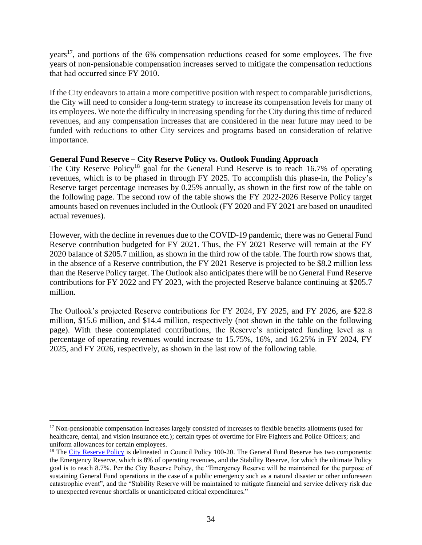years<sup>17</sup>, and portions of the 6% compensation reductions ceased for some employees. The five years of non-pensionable compensation increases served to mitigate the compensation reductions that had occurred since FY 2010.

If the City endeavors to attain a more competitive position with respect to comparable jurisdictions, the City will need to consider a long-term strategy to increase its compensation levels for many of its employees. We note the difficulty in increasing spending for the City during this time of reduced revenues, and any compensation increases that are considered in the near future may need to be funded with reductions to other City services and programs based on consideration of relative importance.

## **General Fund Reserve – City Reserve Policy vs. Outlook Funding Approach**

The City Reserve Policy<sup>18</sup> goal for the General Fund Reserve is to reach 16.7% of operating revenues, which is to be phased in through FY 2025. To accomplish this phase-in, the Policy's Reserve target percentage increases by 0.25% annually, as shown in the first row of the table on the following page. The second row of the table shows the FY 2022-2026 Reserve Policy target amounts based on revenues included in the Outlook (FY 2020 and FY 2021 are based on unaudited actual revenues).

However, with the decline in revenues due to the COVID-19 pandemic, there was no General Fund Reserve contribution budgeted for FY 2021. Thus, the FY 2021 Reserve will remain at the FY 2020 balance of \$205.7 million, as shown in the third row of the table. The fourth row shows that, in the absence of a Reserve contribution, the FY 2021 Reserve is projected to be \$8.2 million less than the Reserve Policy target. The Outlook also anticipates there will be no General Fund Reserve contributions for FY 2022 and FY 2023, with the projected Reserve balance continuing at \$205.7 million.

The Outlook's projected Reserve contributions for FY 2024, FY 2025, and FY 2026, are \$22.8 million, \$15.6 million, and \$14.4 million, respectively (not shown in the table on the following page). With these contemplated contributions, the Reserve's anticipated funding level as a percentage of operating revenues would increase to 15.75%, 16%, and 16.25% in FY 2024, FY 2025, and FY 2026, respectively, as shown in the last row of the following table.

<sup>&</sup>lt;sup>17</sup> Non-pensionable compensation increases largely consisted of increases to flexible benefits allotments (used for healthcare, dental, and vision insurance etc.); certain types of overtime for Fire Fighters and Police Officers; and uniform allowances for certain employees.

<sup>&</sup>lt;sup>18</sup> The [City Reserve Policy](https://docs.sandiego.gov/councilpolicies/cpd_100-20.pdf) is delineated in Council Policy 100-20. The General Fund Reserve has two components: the Emergency Reserve, which is 8% of operating revenues, and the Stability Reserve, for which the ultimate Policy goal is to reach 8.7%. Per the City Reserve Policy, the "Emergency Reserve will be maintained for the purpose of sustaining General Fund operations in the case of a public emergency such as a natural disaster or other unforeseen catastrophic event", and the "Stability Reserve will be maintained to mitigate financial and service delivery risk due to unexpected revenue shortfalls or unanticipated critical expenditures."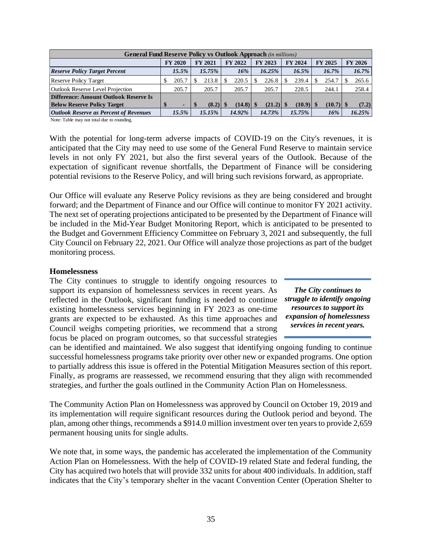|                                               | <b>General Fund Reserve Policy vs Outlook Approach (in millions)</b> |  |                |  |         |  |                |  |                |                |       |  |                |  |
|-----------------------------------------------|----------------------------------------------------------------------|--|----------------|--|---------|--|----------------|--|----------------|----------------|-------|--|----------------|--|
|                                               | <b>FY 2020</b>                                                       |  | <b>FY 2021</b> |  | FY 2022 |  | <b>FY 2023</b> |  | <b>FY 2024</b> | <b>FY 2025</b> |       |  | <b>FY 2026</b> |  |
| <b>Reserve Policy Target Percent</b>          | 15.5%                                                                |  | $15.75\%$      |  | 16%     |  | 16.25%         |  | $16.5\%$       |                | 16.7% |  | 16.7%          |  |
| <b>Reserve Policy Target</b>                  | 205.7                                                                |  | 213.8          |  | 220.5   |  | 226.8          |  | 239.4          |                | 254.7 |  | 265.6          |  |
| <b>Outlook Reserve Level Projection</b>       | 205.7                                                                |  | 205.7          |  | 205.7   |  | 205.7          |  | 228.5          |                | 244.1 |  | 258.4          |  |
| Difference: Amount Outlook Reserve Is         |                                                                      |  |                |  |         |  |                |  |                |                |       |  |                |  |
| <b>Below Reserve Policy Target</b>            | -                                                                    |  |                |  |         |  |                |  |                |                |       |  | (7.2)          |  |
| <b>Outlook Reserve as Percent of Revenues</b> | 15.5%                                                                |  | 15.15%         |  | 14.92%  |  | 14.73%         |  | 15.75%         |                | 16%   |  | 16.25%         |  |

Note: Table may not total due to rounding.

With the potential for long-term adverse impacts of COVID-19 on the City's revenues, it is anticipated that the City may need to use some of the General Fund Reserve to maintain service levels in not only FY 2021, but also the first several years of the Outlook. Because of the expectation of significant revenue shortfalls, the Department of Finance will be considering potential revisions to the Reserve Policy, and will bring such revisions forward, as appropriate.

Our Office will evaluate any Reserve Policy revisions as they are being considered and brought forward; and the Department of Finance and our Office will continue to monitor FY 2021 activity. The next set of operating projections anticipated to be presented by the Department of Finance will be included in the Mid-Year Budget Monitoring Report, which is anticipated to be presented to the Budget and Government Efficiency Committee on February 3, 2021 and subsequently, the full City Council on February 22, 2021. Our Office will analyze those projections as part of the budget monitoring process.

#### **Homelessness**

The City continues to struggle to identify ongoing resources to support its expansion of homelessness services in recent years. As reflected in the Outlook, significant funding is needed to continue existing homelessness services beginning in FY 2023 as one-time grants are expected to be exhausted. As this time approaches and Council weighs competing priorities, we recommend that a strong focus be placed on program outcomes, so that successful strategies

*The City continues to struggle to identify ongoing resources to support its expansion of homelessness services in recent years.*

can be identified and maintained. We also suggest that identifying ongoing funding to continue successful homelessness programs take priority over other new or expanded programs. One option to partially address this issue is offered in the Potential Mitigation Measures section of this report. Finally, as programs are reassessed, we recommend ensuring that they align with recommended strategies, and further the goals outlined in the Community Action Plan on Homelessness.

The Community Action Plan on Homelessness was approved by Council on October 19, 2019 and its implementation will require significant resources during the Outlook period and beyond. The plan, among other things, recommends a \$914.0 million investment over ten years to provide 2,659 permanent housing units for single adults.

We note that, in some ways, the pandemic has accelerated the implementation of the Community Action Plan on Homelessness. With the help of COVID-19 related State and federal funding, the City has acquired two hotels that will provide 332 units for about 400 individuals. In addition, staff indicates that the City's temporary shelter in the vacant Convention Center (Operation Shelter to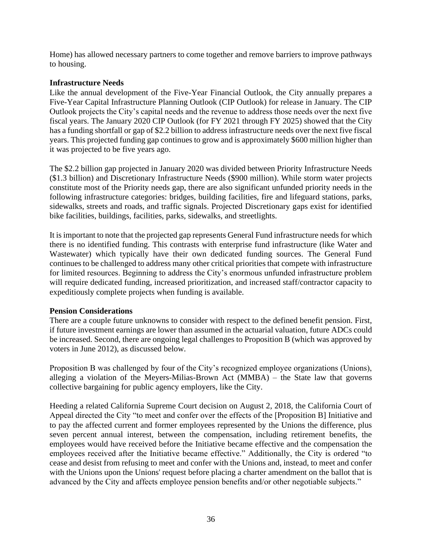Home) has allowed necessary partners to come together and remove barriers to improve pathways to housing.

## **Infrastructure Needs**

Like the annual development of the Five-Year Financial Outlook, the City annually prepares a Five-Year Capital Infrastructure Planning Outlook (CIP Outlook) for release in January. The CIP Outlook projects the City's capital needs and the revenue to address those needs over the next five fiscal years. The January 2020 CIP Outlook (for FY 2021 through FY 2025) showed that the City has a funding shortfall or gap of \$2.2 billion to address infrastructure needs over the next five fiscal years. This projected funding gap continues to grow and is approximately \$600 million higher than it was projected to be five years ago.

The \$2.2 billion gap projected in January 2020 was divided between Priority Infrastructure Needs (\$1.3 billion) and Discretionary Infrastructure Needs (\$900 million). While storm water projects constitute most of the Priority needs gap, there are also significant unfunded priority needs in the following infrastructure categories: bridges, building facilities, fire and lifeguard stations, parks, sidewalks, streets and roads, and traffic signals. Projected Discretionary gaps exist for identified bike facilities, buildings, facilities, parks, sidewalks, and streetlights.

It is important to note that the projected gap represents General Fund infrastructure needs for which there is no identified funding. This contrasts with enterprise fund infrastructure (like Water and Wastewater) which typically have their own dedicated funding sources. The General Fund continues to be challenged to address many other critical priorities that compete with infrastructure for limited resources. Beginning to address the City's enormous unfunded infrastructure problem will require dedicated funding, increased prioritization, and increased staff/contractor capacity to expeditiously complete projects when funding is available.

## **Pension Considerations**

There are a couple future unknowns to consider with respect to the defined benefit pension. First, if future investment earnings are lower than assumed in the actuarial valuation, future ADCs could be increased. Second, there are ongoing legal challenges to Proposition B (which was approved by voters in June 2012), as discussed below.

Proposition B was challenged by four of the City's recognized employee organizations (Unions), alleging a violation of the Meyers-Milias-Brown Act (MMBA) – the State law that governs collective bargaining for public agency employers, like the City.

Heeding a related California Supreme Court decision on August 2, 2018, the California Court of Appeal directed the City "to meet and confer over the effects of the [Proposition B] Initiative and to pay the affected current and former employees represented by the Unions the difference, plus seven percent annual interest, between the compensation, including retirement benefits, the employees would have received before the Initiative became effective and the compensation the employees received after the Initiative became effective." Additionally, the City is ordered "to cease and desist from refusing to meet and confer with the Unions and, instead, to meet and confer with the Unions upon the Unions' request before placing a charter amendment on the ballot that is advanced by the City and affects employee pension benefits and/or other negotiable subjects."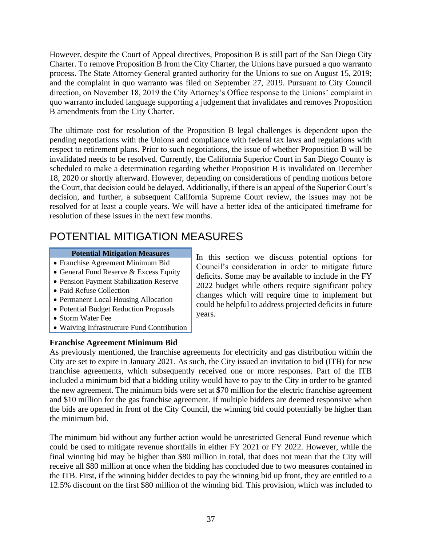However, despite the Court of Appeal directives, Proposition B is still part of the San Diego City Charter. To remove Proposition B from the City Charter, the Unions have pursued a quo warranto process. The State Attorney General granted authority for the Unions to sue on August 15, 2019; and the complaint in quo warranto was filed on September 27, 2019. Pursuant to City Council direction, on November 18, 2019 the City Attorney's Office response to the Unions' complaint in quo warranto included language supporting a judgement that invalidates and removes Proposition B amendments from the City Charter.

The ultimate cost for resolution of the Proposition B legal challenges is dependent upon the pending negotiations with the Unions and compliance with federal tax laws and regulations with respect to retirement plans. Prior to such negotiations, the issue of whether Proposition B will be invalidated needs to be resolved. Currently, the California Superior Court in San Diego County is scheduled to make a determination regarding whether Proposition B is invalidated on December 18, 2020 or shortly afterward. However, depending on considerations of pending motions before the Court, that decision could be delayed. Additionally, if there is an appeal of the Superior Court's decision, and further, a subsequent California Supreme Court review, the issues may not be resolved for at least a couple years. We will have a better idea of the anticipated timeframe for resolution of these issues in the next few months.

## POTENTIAL MITIGATION MEASURES

## **Potential Mitigation Measures**

- Franchise Agreement Minimum Bid
- General Fund Reserve & Excess Equity
- Pension Payment Stabilization Reserve
- Paid Refuse Collection
- Permanent Local Housing Allocation
- Potential Budget Reduction Proposals
- Storm Water Fee
- Waiving Infrastructure Fund Contribution

## **Franchise Agreement Minimum Bid**

In this section we discuss potential options for Council's consideration in order to mitigate future deficits. Some may be available to include in the FY 2022 budget while others require significant policy changes which will require time to implement but could be helpful to address projected deficits in future years.

As previously mentioned, the franchise agreements for electricity and gas distribution within the City are set to expire in January 2021. As such, the City issued an invitation to bid (ITB) for new franchise agreements, which subsequently received one or more responses. Part of the ITB included a minimum bid that a bidding utility would have to pay to the City in order to be granted the new agreement. The minimum bids were set at \$70 million for the electric franchise agreement and \$10 million for the gas franchise agreement. If multiple bidders are deemed responsive when the bids are opened in front of the City Council, the winning bid could potentially be higher than the minimum bid.

The minimum bid without any further action would be unrestricted General Fund revenue which could be used to mitigate revenue shortfalls in either FY 2021 or FY 2022. However, while the final winning bid may be higher than \$80 million in total, that does not mean that the City will receive all \$80 million at once when the bidding has concluded due to two measures contained in the ITB. First, if the winning bidder decides to pay the winning bid up front, they are entitled to a 12.5% discount on the first \$80 million of the winning bid. This provision, which was included to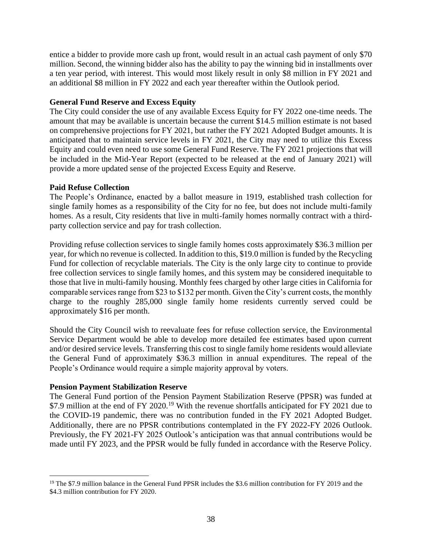entice a bidder to provide more cash up front, would result in an actual cash payment of only \$70 million. Second, the winning bidder also has the ability to pay the winning bid in installments over a ten year period, with interest. This would most likely result in only \$8 million in FY 2021 and an additional \$8 million in FY 2022 and each year thereafter within the Outlook period.

## **General Fund Reserve and Excess Equity**

The City could consider the use of any available Excess Equity for FY 2022 one-time needs. The amount that may be available is uncertain because the current \$14.5 million estimate is not based on comprehensive projections for FY 2021, but rather the FY 2021 Adopted Budget amounts. It is anticipated that to maintain service levels in FY 2021, the City may need to utilize this Excess Equity and could even need to use some General Fund Reserve. The FY 2021 projections that will be included in the Mid-Year Report (expected to be released at the end of January 2021) will provide a more updated sense of the projected Excess Equity and Reserve.

## **Paid Refuse Collection**

The People's Ordinance, enacted by a ballot measure in 1919, established trash collection for single family homes as a responsibility of the City for no fee, but does not include multi-family homes. As a result, City residents that live in multi-family homes normally contract with a thirdparty collection service and pay for trash collection.

Providing refuse collection services to single family homes costs approximately \$36.3 million per year, for which no revenue is collected. In addition to this, \$19.0 million is funded by the Recycling Fund for collection of recyclable materials. The City is the only large city to continue to provide free collection services to single family homes, and this system may be considered inequitable to those that live in multi-family housing. Monthly fees charged by other large cities in California for comparable services range from \$23 to \$132 per month. Given the City's current costs, the monthly charge to the roughly 285,000 single family home residents currently served could be approximately \$16 per month.

Should the City Council wish to reevaluate fees for refuse collection service, the Environmental Service Department would be able to develop more detailed fee estimates based upon current and/or desired service levels. Transferring this cost to single family home residents would alleviate the General Fund of approximately \$36.3 million in annual expenditures. The repeal of the People's Ordinance would require a simple majority approval by voters.

## **Pension Payment Stabilization Reserve**

The General Fund portion of the Pension Payment Stabilization Reserve (PPSR) was funded at \$7.9 million at the end of FY 2020.<sup>19</sup> With the revenue shortfalls anticipated for FY 2021 due to the COVID-19 pandemic, there was no contribution funded in the FY 2021 Adopted Budget. Additionally, there are no PPSR contributions contemplated in the FY 2022-FY 2026 Outlook. Previously, the FY 2021-FY 2025 Outlook's anticipation was that annual contributions would be made until FY 2023, and the PPSR would be fully funded in accordance with the Reserve Policy.

<sup>&</sup>lt;sup>19</sup> The \$7.9 million balance in the General Fund PPSR includes the \$3.6 million contribution for FY 2019 and the \$4.3 million contribution for FY 2020.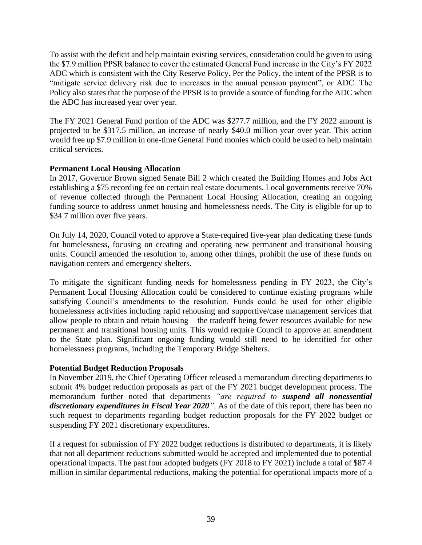To assist with the deficit and help maintain existing services, consideration could be given to using the \$7.9 million PPSR balance to cover the estimated General Fund increase in the City's FY 2022 ADC which is consistent with the City Reserve Policy. Per the Policy, the intent of the PPSR is to "mitigate service delivery risk due to increases in the annual pension payment", or ADC. The Policy also states that the purpose of the PPSR is to provide a source of funding for the ADC when the ADC has increased year over year.

The FY 2021 General Fund portion of the ADC was \$277.7 million, and the FY 2022 amount is projected to be \$317.5 million, an increase of nearly \$40.0 million year over year. This action would free up \$7.9 million in one-time General Fund monies which could be used to help maintain critical services.

## **Permanent Local Housing Allocation**

In 2017, Governor Brown signed Senate Bill 2 which created the Building Homes and Jobs Act establishing a \$75 recording fee on certain real estate documents. Local governments receive 70% of revenue collected through the Permanent Local Housing Allocation, creating an ongoing funding source to address unmet housing and homelessness needs. The City is eligible for up to \$34.7 million over five years.

On July 14, 2020, Council voted to approve a State-required five-year plan dedicating these funds for homelessness, focusing on creating and operating new permanent and transitional housing units. Council amended the resolution to, among other things, prohibit the use of these funds on navigation centers and emergency shelters.

To mitigate the significant funding needs for homelessness pending in FY 2023, the City's Permanent Local Housing Allocation could be considered to continue existing programs while satisfying Council's amendments to the resolution. Funds could be used for other eligible homelessness activities including rapid rehousing and supportive/case management services that allow people to obtain and retain housing – the tradeoff being fewer resources available for new permanent and transitional housing units. This would require Council to approve an amendment to the State plan. Significant ongoing funding would still need to be identified for other homelessness programs, including the Temporary Bridge Shelters.

## **Potential Budget Reduction Proposals**

In November 2019, the Chief Operating Officer released a memorandum directing departments to submit 4% budget reduction proposals as part of the FY 2021 budget development process. The memorandum further noted that departments *"are required to suspend all nonessential discretionary expenditures in Fiscal Year 2020"*. As of the date of this report, there has been no such request to departments regarding budget reduction proposals for the FY 2022 budget or suspending FY 2021 discretionary expenditures.

If a request for submission of FY 2022 budget reductions is distributed to departments, it is likely that not all department reductions submitted would be accepted and implemented due to potential operational impacts. The past four adopted budgets (FY 2018 to FY 2021) include a total of \$87.4 million in similar departmental reductions, making the potential for operational impacts more of a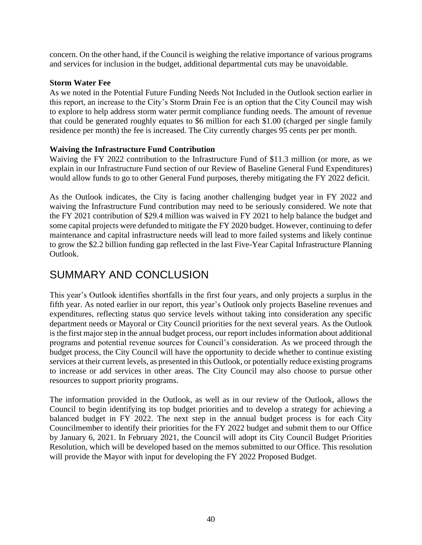concern. On the other hand, if the Council is weighing the relative importance of various programs and services for inclusion in the budget, additional departmental cuts may be unavoidable.

## **Storm Water Fee**

As we noted in the Potential Future Funding Needs Not Included in the Outlook section earlier in this report, an increase to the City's Storm Drain Fee is an option that the City Council may wish to explore to help address storm water permit compliance funding needs. The amount of revenue that could be generated roughly equates to \$6 million for each \$1.00 (charged per single family residence per month) the fee is increased. The City currently charges 95 cents per per month.

## **Waiving the Infrastructure Fund Contribution**

Waiving the FY 2022 contribution to the Infrastructure Fund of \$11.3 million (or more, as we explain in our Infrastructure Fund section of our Review of Baseline General Fund Expenditures) would allow funds to go to other General Fund purposes, thereby mitigating the FY 2022 deficit.

As the Outlook indicates, the City is facing another challenging budget year in FY 2022 and waiving the Infrastructure Fund contribution may need to be seriously considered. We note that the FY 2021 contribution of \$29.4 million was waived in FY 2021 to help balance the budget and some capital projects were defunded to mitigate the FY 2020 budget. However, continuing to defer maintenance and capital infrastructure needs will lead to more failed systems and likely continue to grow the \$2.2 billion funding gap reflected in the last Five-Year Capital Infrastructure Planning Outlook.

## SUMMARY AND CONCLUSION

This year's Outlook identifies shortfalls in the first four years, and only projects a surplus in the fifth year. As noted earlier in our report, this year's Outlook only projects Baseline revenues and expenditures, reflecting status quo service levels without taking into consideration any specific department needs or Mayoral or City Council priorities for the next several years. As the Outlook is the first major step in the annual budget process, our report includes information about additional programs and potential revenue sources for Council's consideration. As we proceed through the budget process, the City Council will have the opportunity to decide whether to continue existing services at their current levels, as presented in this Outlook, or potentially reduce existing programs to increase or add services in other areas. The City Council may also choose to pursue other resources to support priority programs.

The information provided in the Outlook, as well as in our review of the Outlook, allows the Council to begin identifying its top budget priorities and to develop a strategy for achieving a balanced budget in FY 2022. The next step in the annual budget process is for each City Councilmember to identify their priorities for the FY 2022 budget and submit them to our Office by January 6, 2021. In February 2021, the Council will adopt its City Council Budget Priorities Resolution, which will be developed based on the memos submitted to our Office. This resolution will provide the Mayor with input for developing the FY 2022 Proposed Budget.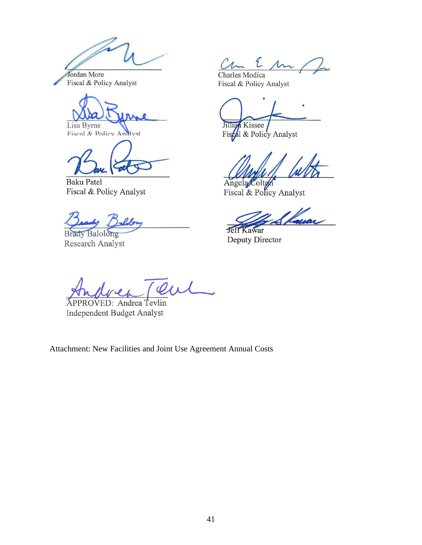Jordan More Fiscal & Policy Analyst

Lisa Byrne<br>Fiscal & Policy Analyst

**Baku Patel** Fiscal & Policy Analyst

**Brady Balolong** Research Analyst

 $2 \mu \nu$ 

Charles Modica Fiscal & Policy Analyst

Jillian Kissee

Fiscal & Policy Analyst

Angela Colton Fiscal & Policy Analyst

**Jeff Kawar** Deputy Director

 $\overline{\varphi}_{\mu}$ 

APPROVED: Andrea Tevlin Independent Budget Analyst

Attachment: New Facilities and Joint Use Agreement Annual Costs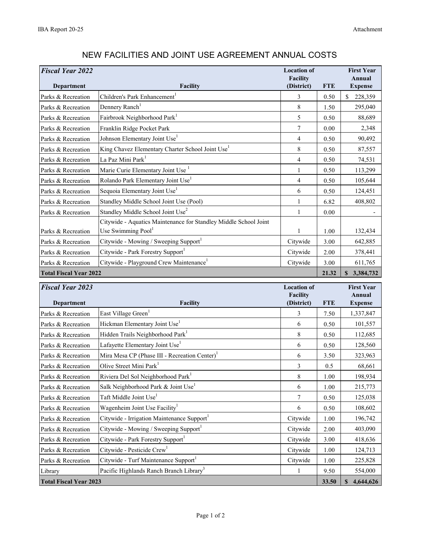| <b>Fiscal Year 2022</b><br>Department | Facility                                                         | <b>Location of</b><br><b>Facility</b><br>(District) | <b>FTE</b> | <b>First Year</b><br>Annual<br><b>Expense</b> |
|---------------------------------------|------------------------------------------------------------------|-----------------------------------------------------|------------|-----------------------------------------------|
| Parks & Recreation                    | Children's Park Enhancement <sup>1</sup>                         | 3                                                   | 0.50       | \$<br>228,359                                 |
| Parks & Recreation                    | Dennery Ranch <sup>1</sup>                                       | 8                                                   | 1.50       | 295,040                                       |
| Parks & Recreation                    | Fairbrook Neighborhood Park                                      | 5                                                   | 0.50       | 88,689                                        |
| Parks & Recreation                    | Franklin Ridge Pocket Park                                       | $\tau$                                              | 0.00       | 2,348                                         |
| Parks & Recreation                    | Johnson Elementary Joint Use <sup>1</sup>                        | 4                                                   | 0.50       | 90,492                                        |
| Parks & Recreation                    | King Chavez Elementary Charter School Joint Use <sup>1</sup>     | 8                                                   | 0.50       | 87,557                                        |
| Parks & Recreation                    | La Paz Mini Park <sup>1</sup>                                    | 4                                                   | 0.50       | 74,531                                        |
| Parks & Recreation                    | Marie Curie Elementary Joint Use                                 | 1                                                   | 0.50       | 113,299                                       |
| Parks & Recreation                    | Rolando Park Elementary Joint Use <sup>1</sup>                   | 4                                                   | 0.50       | 105,644                                       |
| Parks & Recreation                    | Sequoia Elementary Joint Use <sup>1</sup>                        | 6                                                   | 0.50       | 124,451                                       |
| Parks & Recreation                    | Standley Middle School Joint Use (Pool)                          | 1                                                   | 6.82       | 408,802                                       |
| Parks & Recreation                    | Standley Middle School Joint Use <sup>2</sup>                    | 1                                                   | 0.00       |                                               |
|                                       | Citywide - Aquatics Maintenance for Standley Middle School Joint |                                                     |            |                                               |
| Parks & Recreation                    | Use Swimming Pool <sup>1</sup>                                   | 1                                                   | 1.00       | 132,434                                       |
| Parks & Recreation                    | Citywide - Mowing / Sweeping Support <sup>1</sup>                | Citywide                                            | 3.00       | 642,885                                       |
| Parks & Recreation                    | Citywide - Park Forestry Support                                 | Citywide                                            | 2.00       | 378,441                                       |
| Parks & Recreation                    | Citywide - Playground Crew Maintenance <sup>1</sup>              | Citywide                                            | 3.00       | 611,765                                       |
| <b>Total Fiscal Year 2022</b>         |                                                                  |                                                     | 21.32      | 3,384,732<br>$\mathbf{s}$                     |

## NEW FACILITIES AND JOINT USE AGREEMENT ANNUAL COSTS

| <b>Fiscal Year 2023</b>       |                                                           | <b>Location of</b><br><b>Facility</b> |            | <b>First Year</b><br>Annual |
|-------------------------------|-----------------------------------------------------------|---------------------------------------|------------|-----------------------------|
| Department                    | <b>Facility</b>                                           | (District)                            | <b>FTE</b> | <b>Expense</b>              |
| Parks & Recreation            | East Village Green <sup>1</sup>                           | 3                                     | 7.50       | 1,337,847                   |
| Parks & Recreation            | Hickman Elementary Joint Use <sup>1</sup>                 | 6                                     | 0.50       | 101,557                     |
| Parks & Recreation            | Hidden Trails Neighborhood Park <sup>1</sup>              | 8                                     | 0.50       | 112,685                     |
| Parks & Recreation            | Lafayette Elementary Joint Use <sup>1</sup>               | 6                                     | 0.50       | 128,560                     |
| Parks & Recreation            | Mira Mesa CP (Phase III - Recreation Center) <sup>1</sup> | 6                                     | 3.50       | 323,963                     |
| Parks & Recreation            | Olive Street Mini Park <sup>1</sup>                       | 3                                     | 0.5        | 68,661                      |
| Parks & Recreation            | Riviera Del Sol Neighborhood Park <sup>1</sup>            | 8                                     | 1.00       | 198,934                     |
| Parks & Recreation            | Salk Neighborhood Park & Joint Use                        | 6                                     | 1.00       | 215,773                     |
| Parks & Recreation            | Taft Middle Joint Use <sup>1</sup>                        | 7                                     | 0.50       | 125,038                     |
| Parks & Recreation            | Wagenheim Joint Use Facility                              | 6                                     | 0.50       | 108,602                     |
| Parks & Recreation            | Citywide - Irrigation Maintenance Support                 | Citywide                              | 1.00       | 196,742                     |
| Parks & Recreation            | Citywide - Mowing / Sweeping Support <sup>1</sup>         | Citywide                              | 2.00       | 403,090                     |
| Parks & Recreation            | Citywide - Park Forestry Support                          | Citywide                              | 3.00       | 418,636                     |
| Parks & Recreation            | Citywide - Pesticide Crew <sup>1</sup>                    | Citywide                              | 1.00       | 124,713                     |
| Parks & Recreation            | Citywide - Turf Maintenance Support                       | Citywide                              | 1.00       | 225,828                     |
| Library                       | Pacific Highlands Ranch Branch Library <sup>3</sup>       | 1                                     | 9.50       | 554,000                     |
| <b>Total Fiscal Year 2023</b> |                                                           |                                       | 33.50      | 4,644,626<br>$\mathbf{s}$   |